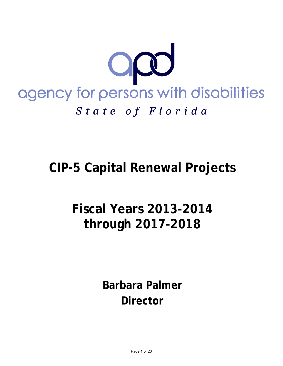

# **CIP-5 Capital Renewal Projects**

# **Fiscal Years 2013-2014 through 2017-2018**

**Barbara Palmer Director**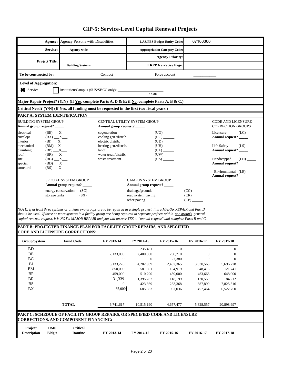|                                                             | Agency:                   | <b>Agency Persons with Disabilities</b>                                                                                                                                                                                                                                                                                                                                                               |                                            |                                    | <b>LAS/PBS Budget Entity Code:</b>     | 67100300                 |                                                       |           |  |
|-------------------------------------------------------------|---------------------------|-------------------------------------------------------------------------------------------------------------------------------------------------------------------------------------------------------------------------------------------------------------------------------------------------------------------------------------------------------------------------------------------------------|--------------------------------------------|------------------------------------|----------------------------------------|--------------------------|-------------------------------------------------------|-----------|--|
|                                                             | Service:                  | Agency-wide                                                                                                                                                                                                                                                                                                                                                                                           |                                            |                                    | <b>Appropriation Category Code:</b>    |                          |                                                       |           |  |
|                                                             |                           |                                                                                                                                                                                                                                                                                                                                                                                                       |                                            |                                    | <b>Agency Priority:</b>                |                          |                                                       |           |  |
|                                                             | <b>Project Title:</b>     | <b>Building Systems</b>                                                                                                                                                                                                                                                                                                                                                                               | <b>LRPP Narrative Page:</b>                |                                    |                                        |                          |                                                       |           |  |
| To be constructed by:                                       |                           |                                                                                                                                                                                                                                                                                                                                                                                                       | Contract                                   |                                    | Force account _                        |                          |                                                       |           |  |
| <b>Level of Aggregation:</b>                                |                           |                                                                                                                                                                                                                                                                                                                                                                                                       |                                            |                                    |                                        |                          |                                                       |           |  |
| Service                                                     |                           | Institution/Campus (SUS/SBCC only):                                                                                                                                                                                                                                                                                                                                                                   |                                            | <b>NAME</b>                        |                                        |                          |                                                       |           |  |
|                                                             |                           | Major Repair Project? (Y/N)  (If <u>Yes</u> , complete Parts A, D & E; if <u>No,</u> complete Parts A, B & C.)                                                                                                                                                                                                                                                                                        |                                            |                                    |                                        |                          |                                                       |           |  |
|                                                             |                           | Critical Need? (Y/N) (If Yes, all funding must be requested in the first two fiscal years.)                                                                                                                                                                                                                                                                                                           |                                            |                                    |                                        |                          |                                                       |           |  |
|                                                             |                           | PART A: SYSTEM IDENTIFICATION                                                                                                                                                                                                                                                                                                                                                                         |                                            |                                    |                                        |                          |                                                       |           |  |
| <b>BUILDING SYSTEM GROUP</b><br>Annual group request? _____ |                           |                                                                                                                                                                                                                                                                                                                                                                                                       | Annual group request? _____                | CENTRAL UTILITY SYSTEM GROUP       |                                        |                          | <b>CODE AND LICENSURE</b><br><b>CORRECTION GROUPS</b> |           |  |
| $(BE)$ $X$<br>electrical                                    |                           |                                                                                                                                                                                                                                                                                                                                                                                                       | cogeneration                               | $(UG)$ <sub>______</sub>           |                                        |                          |                                                       | Licensure |  |
| envelope<br>interior                                        | $(BX)$ $X$<br>$(BI)$ $X$  |                                                                                                                                                                                                                                                                                                                                                                                                       | cooling gen./distrib.<br>electric distrib. |                                    | $(UD)$ <sub>______</sub>               |                          | Annual request? _____                                 |           |  |
| mechanical                                                  | $(BM)$ $X$                |                                                                                                                                                                                                                                                                                                                                                                                                       | heating gen./distrib.                      |                                    | $(UH)$ <sub>______</sub>               |                          | Life Safety                                           | (LS)      |  |
| plumbing                                                    | $(BP)$ $X$                |                                                                                                                                                                                                                                                                                                                                                                                                       | landfill                                   |                                    | ${\rm (UL)} \xrightarrow{\phantom{a}}$ |                          | Annual request?                                       |           |  |
| roof<br>site                                                | $(BR)$ $X$                |                                                                                                                                                                                                                                                                                                                                                                                                       | water treat./distrib.<br>waste treatment   |                                    | $(UW)$ <sub>_____</sub>                |                          | Handicapped                                           | (LH)      |  |
| special                                                     | $(BD)$ <sub>__</sub> X___ |                                                                                                                                                                                                                                                                                                                                                                                                       |                                            |                                    |                                        |                          | Annual request?                                       |           |  |
| structural                                                  | $(BS)$ $X$                |                                                                                                                                                                                                                                                                                                                                                                                                       |                                            |                                    |                                        |                          | Environmental (LE)<br>Annual request?                 |           |  |
|                                                             |                           | <b>SPECIAL SYSTEM GROUP</b>                                                                                                                                                                                                                                                                                                                                                                           |                                            | <b>CAMPUS SYSTEM GROUP</b>         |                                        |                          |                                                       |           |  |
|                                                             |                           | Annual group request? _____                                                                                                                                                                                                                                                                                                                                                                           |                                            | Annual group request?              |                                        |                          |                                                       |           |  |
|                                                             |                           | energy conservation                                                                                                                                                                                                                                                                                                                                                                                   |                                            | drainage/grounds                   |                                        | $(CG)$ <sub>______</sub> |                                                       |           |  |
|                                                             | storage tanks             | (SX)                                                                                                                                                                                                                                                                                                                                                                                                  |                                            | road system paving<br>other paving |                                        | $(CR)$ <sub>______</sub> |                                                       |           |  |
|                                                             |                           | NOTE: If at least three systems or at least two groups are to be repaired in a single project, it is a MAJOR REPAIR and Part D<br>should be used. If three or more systems in a facility group are being repaired in separate projects within <u>one group's</u> general<br>capital renewal request, it is NOT a MAJOR REPAIR and you will answer YES to "annual request" and complete Parts B and C. |                                            |                                    |                                        |                          |                                                       |           |  |
|                                                             |                           | PART B: PROJECTED FINANCE PLAN FOR FACILITY GROUP REPAIRS, AND SPECIFIED<br><b>CODE AND LICENSURE CORRECTIONS:</b>                                                                                                                                                                                                                                                                                    |                                            |                                    |                                        |                          |                                                       |           |  |
| Group/System                                                |                           | <b>Fund Code</b>                                                                                                                                                                                                                                                                                                                                                                                      | FY 2013-14                                 | FY 2014-15                         | FY 2015-16                             | FY 2016-17               | FY 2017-18                                            |           |  |
| <b>BD</b>                                                   |                           |                                                                                                                                                                                                                                                                                                                                                                                                       | $\mathbf{0}$                               | 235,481                            | $\mathbf{0}$                           | $\mathbf{0}$             | $\overline{0}$                                        |           |  |
| BE                                                          |                           |                                                                                                                                                                                                                                                                                                                                                                                                       | 2,133,000                                  | 2,400,500                          | 260,210                                | $\boldsymbol{0}$         | $\boldsymbol{0}$                                      |           |  |
| ΒG                                                          |                           |                                                                                                                                                                                                                                                                                                                                                                                                       | $\mathbf{0}$                               | $\mathbf{0}$                       | 27,380                                 | $\theta$                 | $\theta$                                              |           |  |
| BI<br>BM                                                    |                           |                                                                                                                                                                                                                                                                                                                                                                                                       | 3,133,278<br>850,000                       | 4,282,989<br>581,691               | 2,407,365<br>164,919                   | 3.030.563<br>848,415     | 5,696,778<br>121,741                                  |           |  |
|                                                             |                           |                                                                                                                                                                                                                                                                                                                                                                                                       |                                            |                                    |                                        |                          |                                                       |           |  |

 **TOTAL** 6,741,617 10,515,190 4,657,477 5,328,557 20,898,997

BP 459,000 510,290 459,000 483,666 648,000 BR 131,339 1,395,287 118,199 120,559 84,212 BS 0 423,369 283,368 387,890 7,825,516 BX 35,000 685,583 937,036 457,464 6,522,750

**Description Bldg.# Routine FY 2013-14 FY 2014-15 FY 2015-16 FY 2016-17 FY 2017-18**

**PART C: SCHEDULE OF FACILITY GROUP REPAIRS, OR SPECIFIED CODE AND LICENSURE**

**CORRECTIONS, AND COMPONENT FINANCING:**

**Project DMS Critical**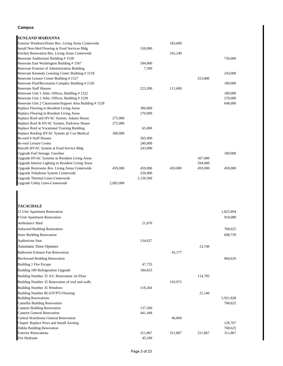#### **Campus**

| <b>SUNLAND MARIANNA</b>                                |           |           |         |         |         |
|--------------------------------------------------------|-----------|-----------|---------|---------|---------|
| Exterior Windows/Doors Res. Living Areas Centerwide    |           |           | 183,600 |         |         |
| Install Non-Skid Flooring at Food Services Bldg        |           | 150,000   |         |         |         |
| Kitchen Renovation Res. Living Areas Centerwide        |           |           | 165,240 |         |         |
| Renovate Auditorium Building #1528                     |           |           |         |         | 756,000 |
| Renovate East Washington Building #1567                |           | 594,000   |         |         |         |
| Renovate Exterior of Administration Building           |           | 7,500     |         |         |         |
| Renovate Kennedy Learning Center Building #1518        |           |           |         |         | 243,000 |
| Renovate Leisure Center Building #1527                 |           |           |         | 253,800 |         |
| Renovate Pool/Recreation Complex Building #1526        |           |           |         |         | 189,000 |
| <b>Renovate Staff Houses</b>                           |           | 223,200   | 111,600 |         |         |
| Renovate Unit 1 Adm. Offices, Building #1522           |           |           |         |         | 189,000 |
| Renovate Unit 2 Adm. Offices, Building #1528           |           |           |         |         | 270,000 |
| Renovate Unit 2 Classrooms/Support Area Building #1528 |           |           |         |         | 648,000 |
| Replace Flooring in Resident Living Areas              |           | 300,000   |         |         |         |
| Replace Flooring in Resident Living Areas              |           | 270,000   |         |         |         |
| Replace Roof and HVAC System, Adams House              | 275,000   |           |         |         |         |
| Replace Roof & HVAC System, Parkview House             | 275,000   |           |         |         |         |
| Replace Roof at Vocational Training Building           |           | 65,000    |         |         |         |
| Replace Rooftop HVAC System @ Cox Medical              | 300,000   |           |         |         |         |
| Re-roof 6 Staff Houses                                 |           | 365,000   |         |         |         |
| Re-roof Leisure Center                                 |           | 240,000   |         |         |         |
| Retrofit HVAC System at Food Service Bldg              |           | 243,000   |         |         |         |
| Upgrade Fuel Storage, Gasoline                         |           |           |         |         | 189,000 |
| Upgrade HVAC Systems in Resident Living Areas          |           |           |         | 567,000 |         |
| Upgrade Interior Lighting in Resident Living Areas     |           |           |         | 594,000 |         |
| <b>Upgrade Restrooms Res. Living Areas Centerwide</b>  | 459,000   | 459,000   | 459,000 | 459,000 | 459,000 |
| Upgrade Telephone System Centerwide                    |           | 250,000   |         |         |         |
| <b>Upgrade Thermal Lines-Centerwide</b>                |           | 2,150,500 |         |         |         |
| <b>Upgrade Utility Lines-Centerwide</b>                | 2.085,000 |           |         |         |         |

| <b>TACACHALE</b>                                |         |         |         |           |
|-------------------------------------------------|---------|---------|---------|-----------|
| 12 Unit Apartment Renovation                    |         |         |         | 1,822,894 |
| 8 Unit Apartment Renovation                     |         |         |         | 918,089   |
| Ambulance Shed                                  | 21,876  |         |         |           |
| <b>Ashwood Building Renovation</b>              |         |         |         | 768,625   |
| <b>Aster Building Renovation</b>                |         |         |         | 698,739   |
| <b>Auditorium Seat</b>                          | 134,627 |         |         |           |
| <b>Automatic Door Openers</b>                   |         |         | 23,749  |           |
| <b>Bathroom Exhaust Fan Renovation</b>          |         | 43,177  |         |           |
| <b>Birchwood Building Renovation</b>            |         |         |         | 964,626   |
| Building 1 Fire Escape                          | 47,735  |         |         |           |
| Building 109 Refrigeration Upgrade              | 184,623 |         |         |           |
| Building Number 35 A/C Renovation 1st Floor     |         |         | 114,785 |           |
| Building Number 35 Renovation of roof and walls |         | 310,972 |         |           |
| <b>Building Number 35 Windows</b>               | 118,264 |         |         |           |
| Building Number 86 (OT/PT) Flooring             |         |         | 21,140  |           |
| <b>Building Renovations</b>                     |         |         |         | 5,921,828 |
| Camellia Building Renovation                    |         |         |         | 768,625   |
| <b>Canteen Building Renovation</b>              | 137,500 |         |         |           |
| <b>Canteen General Renovation</b>               | 441,448 |         |         |           |
| <b>Central Warehouse General Renovation</b>     |         | 46,860  |         |           |
| Chapel: Replace Pews and Install Awning         |         |         |         | 120,767   |
| Dahlia Building Renovation                      |         |         |         | 768,625   |
| <b>Exterior Renovations</b>                     | 311,867 | 311,867 | 311,867 | 311,867   |
| Fire Hydrants                                   | 45,100  |         |         |           |
|                                                 |         |         |         |           |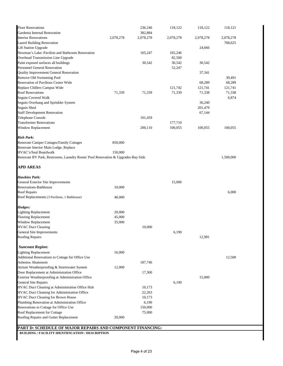|           | 236,246                                        | 118,122                                                                                                                                                                             | 118,122                                                                                                                 | 118,121                                                                         |
|-----------|------------------------------------------------|-------------------------------------------------------------------------------------------------------------------------------------------------------------------------------------|-------------------------------------------------------------------------------------------------------------------------|---------------------------------------------------------------------------------|
|           | 382,884                                        |                                                                                                                                                                                     |                                                                                                                         |                                                                                 |
| 2,078,278 | 2,078,278                                      | 2,078,278                                                                                                                                                                           | 2,078,278                                                                                                               | 2,078,278                                                                       |
|           |                                                |                                                                                                                                                                                     |                                                                                                                         | 768,625                                                                         |
|           |                                                |                                                                                                                                                                                     | 24,666                                                                                                                  |                                                                                 |
|           | 165,247                                        | 165,246                                                                                                                                                                             |                                                                                                                         |                                                                                 |
|           |                                                | 82,500                                                                                                                                                                              |                                                                                                                         |                                                                                 |
|           | 30,542                                         | 30,542                                                                                                                                                                              | 30,542                                                                                                                  |                                                                                 |
|           |                                                | 52,247                                                                                                                                                                              |                                                                                                                         |                                                                                 |
|           |                                                |                                                                                                                                                                                     | 37,341                                                                                                                  |                                                                                 |
|           |                                                |                                                                                                                                                                                     |                                                                                                                         | 39,491                                                                          |
|           |                                                |                                                                                                                                                                                     | 68,289                                                                                                                  | 68,289                                                                          |
|           |                                                |                                                                                                                                                                                     |                                                                                                                         | 121,741                                                                         |
|           |                                                |                                                                                                                                                                                     |                                                                                                                         | 71,338                                                                          |
|           |                                                |                                                                                                                                                                                     |                                                                                                                         | 6,874                                                                           |
|           |                                                |                                                                                                                                                                                     |                                                                                                                         |                                                                                 |
|           |                                                |                                                                                                                                                                                     |                                                                                                                         |                                                                                 |
|           |                                                |                                                                                                                                                                                     |                                                                                                                         |                                                                                 |
|           |                                                |                                                                                                                                                                                     |                                                                                                                         |                                                                                 |
|           |                                                |                                                                                                                                                                                     |                                                                                                                         |                                                                                 |
|           |                                                |                                                                                                                                                                                     |                                                                                                                         | 100,055                                                                         |
|           |                                                |                                                                                                                                                                                     |                                                                                                                         |                                                                                 |
| 850,000   |                                                |                                                                                                                                                                                     |                                                                                                                         |                                                                                 |
|           |                                                |                                                                                                                                                                                     |                                                                                                                         |                                                                                 |
| 150,000   |                                                |                                                                                                                                                                                     |                                                                                                                         |                                                                                 |
|           |                                                |                                                                                                                                                                                     |                                                                                                                         | 1,500,000                                                                       |
|           |                                                |                                                                                                                                                                                     |                                                                                                                         |                                                                                 |
|           |                                                |                                                                                                                                                                                     |                                                                                                                         |                                                                                 |
|           |                                                |                                                                                                                                                                                     |                                                                                                                         |                                                                                 |
|           |                                                | 15,000                                                                                                                                                                              |                                                                                                                         |                                                                                 |
| 10,000    |                                                |                                                                                                                                                                                     |                                                                                                                         |                                                                                 |
|           |                                                |                                                                                                                                                                                     |                                                                                                                         | 6,000                                                                           |
| 40,000    |                                                |                                                                                                                                                                                     |                                                                                                                         |                                                                                 |
|           |                                                |                                                                                                                                                                                     |                                                                                                                         |                                                                                 |
|           |                                                |                                                                                                                                                                                     |                                                                                                                         |                                                                                 |
|           |                                                |                                                                                                                                                                                     |                                                                                                                         |                                                                                 |
|           |                                                |                                                                                                                                                                                     |                                                                                                                         |                                                                                 |
|           |                                                |                                                                                                                                                                                     |                                                                                                                         |                                                                                 |
|           |                                                |                                                                                                                                                                                     |                                                                                                                         |                                                                                 |
|           |                                                |                                                                                                                                                                                     |                                                                                                                         |                                                                                 |
|           |                                                |                                                                                                                                                                                     |                                                                                                                         |                                                                                 |
|           |                                                |                                                                                                                                                                                     |                                                                                                                         |                                                                                 |
| 16,000    |                                                |                                                                                                                                                                                     |                                                                                                                         |                                                                                 |
|           |                                                |                                                                                                                                                                                     |                                                                                                                         | 12,500                                                                          |
|           | 187,746                                        |                                                                                                                                                                                     |                                                                                                                         |                                                                                 |
| 12,000    |                                                |                                                                                                                                                                                     |                                                                                                                         |                                                                                 |
|           | 17,300                                         |                                                                                                                                                                                     |                                                                                                                         |                                                                                 |
|           |                                                |                                                                                                                                                                                     |                                                                                                                         |                                                                                 |
|           |                                                |                                                                                                                                                                                     |                                                                                                                         |                                                                                 |
|           |                                                |                                                                                                                                                                                     |                                                                                                                         |                                                                                 |
|           |                                                |                                                                                                                                                                                     |                                                                                                                         |                                                                                 |
|           |                                                |                                                                                                                                                                                     |                                                                                                                         |                                                                                 |
|           |                                                |                                                                                                                                                                                     |                                                                                                                         |                                                                                 |
|           |                                                |                                                                                                                                                                                     |                                                                                                                         |                                                                                 |
|           |                                                |                                                                                                                                                                                     |                                                                                                                         |                                                                                 |
|           |                                                |                                                                                                                                                                                     |                                                                                                                         |                                                                                 |
|           |                                                |                                                                                                                                                                                     |                                                                                                                         |                                                                                 |
|           |                                                |                                                                                                                                                                                     |                                                                                                                         |                                                                                 |
|           | 71,339<br>20,000<br>45,000<br>35,000<br>20,000 | 71,339<br>101,459<br>200,110<br>Renovate RV Park, Restrooms, Laundry Room/Pool Renovation & Upgrades-Bay Side<br>10,000<br>10,173<br>22,263<br>10,173<br>6,190<br>150,000<br>75,000 | 121,742<br>71,339<br>177,710<br>100,055<br>6,190<br>6,190<br>PART D: SCHEDULE OF MAJOR REPAIRS AND COMPONENT FINANCING: | 121,741<br>71,338<br>36,240<br>201,479<br>67,144<br>100,055<br>12,981<br>15,000 |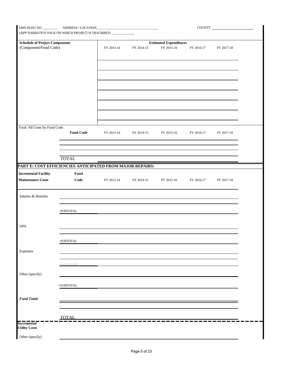| I<br>LRPP NARRATIVE PAGE ON WHICH PROJECT IS DESCRIBED ____________ |                                                           |            |            |                               | COUNTY     |            |  |  |
|---------------------------------------------------------------------|-----------------------------------------------------------|------------|------------|-------------------------------|------------|------------|--|--|
| <b>Schedule of Project Components</b>                               |                                                           |            |            | <b>Estimated Expenditures</b> |            |            |  |  |
| (Component/Fund Code)                                               |                                                           | FY 2013-14 | FY 2014-15 | FY 2015-16                    | FY 2016-17 | FY 2017-18 |  |  |
|                                                                     |                                                           |            |            |                               |            |            |  |  |
|                                                                     |                                                           |            |            |                               |            |            |  |  |
|                                                                     |                                                           |            |            |                               |            |            |  |  |
| Total: All Costs by Fund Code                                       |                                                           |            |            |                               |            |            |  |  |
|                                                                     | <b>Fund Code</b>                                          | FY 2013-14 | FY 2014-15 | FY 2015-16                    | FY 2016-17 | FY 2017-18 |  |  |
|                                                                     | <b>TOTAL</b>                                              |            |            |                               |            |            |  |  |
|                                                                     | PART E: COST EFFICIENCIES ANTICIPATED FROM MAJOR REPAIRS: |            |            |                               |            |            |  |  |
| <b>Incremental Facility</b><br><b>Maintenance Costs</b>             | Fund<br>Code                                              | FY 2013-14 | FY 2014-15 | FY 2015-16                    | FY 2016-17 | FY 2017-18 |  |  |
| Salaries & Benefits                                                 |                                                           |            |            |                               |            |            |  |  |
|                                                                     | SUBTOTAL                                                  |            |            |                               |            |            |  |  |
| OPS                                                                 |                                                           |            |            |                               |            |            |  |  |
|                                                                     | ${\tt SUBTOTAL}$                                          |            |            |                               |            |            |  |  |
| Expenses                                                            |                                                           |            |            |                               |            |            |  |  |
|                                                                     | ------                                                    |            |            |                               |            |            |  |  |
| Other (specify)                                                     | $\ell$ SUBTOTAL                                           |            |            |                               |            |            |  |  |
| <b>Fund Totals</b>                                                  |                                                           |            |            |                               |            |            |  |  |
|                                                                     |                                                           |            |            |                               |            |            |  |  |
| <b>Incremental</b><br><b>Utility Costs</b>                          | <b>TOTAL</b>                                              |            |            |                               |            |            |  |  |
| Other (specify)                                                     |                                                           |            |            |                               |            |            |  |  |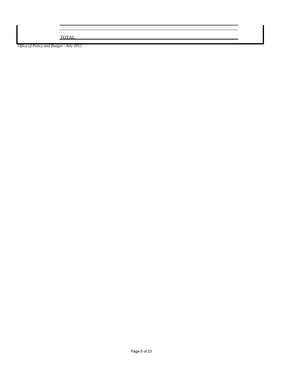TOTAL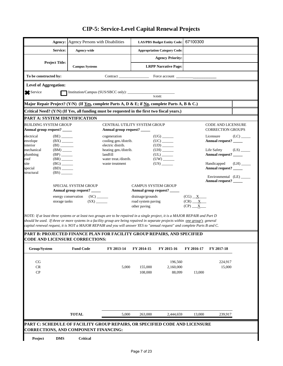|                                                                                                   | Agency: Agency Persons with Disabilities                                                                                                                                                                                                                                                                                                                                                       |       |                                                        | <b>LAS/PBS Budget Entity Code:</b>  | 67100300                               |                                      |                         |  |  |  |
|---------------------------------------------------------------------------------------------------|------------------------------------------------------------------------------------------------------------------------------------------------------------------------------------------------------------------------------------------------------------------------------------------------------------------------------------------------------------------------------------------------|-------|--------------------------------------------------------|-------------------------------------|----------------------------------------|--------------------------------------|-------------------------|--|--|--|
| Service:                                                                                          | Agency-wide                                                                                                                                                                                                                                                                                                                                                                                    |       |                                                        | <b>Appropriation Category Code:</b> |                                        |                                      |                         |  |  |  |
|                                                                                                   |                                                                                                                                                                                                                                                                                                                                                                                                |       |                                                        | <b>Agency Priority:</b>             |                                        |                                      |                         |  |  |  |
| <b>Project Title:</b>                                                                             | <b>Campus Systems</b>                                                                                                                                                                                                                                                                                                                                                                          |       |                                                        | <b>LRPP Narrative Page:</b>         |                                        |                                      |                         |  |  |  |
| To be constructed by:                                                                             | Contract                                                                                                                                                                                                                                                                                                                                                                                       |       |                                                        | Force account                       |                                        |                                      |                         |  |  |  |
| <b>Level of Aggregation:</b>                                                                      |                                                                                                                                                                                                                                                                                                                                                                                                |       |                                                        |                                     |                                        |                                      |                         |  |  |  |
| Service                                                                                           |                                                                                                                                                                                                                                                                                                                                                                                                |       |                                                        | <b>NAME</b>                         |                                        |                                      |                         |  |  |  |
|                                                                                                   | Major Repair Project? (Y/N) (If Yes, complete Parts A, D & E; if No, complete Parts A, B & C.)                                                                                                                                                                                                                                                                                                 |       |                                                        |                                     |                                        |                                      |                         |  |  |  |
|                                                                                                   | Critical Need? (Y/N) (If Yes, all funding must be requested in the first two fiscal years.)                                                                                                                                                                                                                                                                                                    |       |                                                        |                                     |                                        |                                      |                         |  |  |  |
| PART A: SYSTEM IDENTIFICATION                                                                     |                                                                                                                                                                                                                                                                                                                                                                                                |       |                                                        |                                     |                                        |                                      |                         |  |  |  |
| BUILDING SYSTEM GROUP<br>CENTRAL UTILITY SYSTEM GROUP<br><b>CODE AND LICENSURE</b>                |                                                                                                                                                                                                                                                                                                                                                                                                |       |                                                        |                                     |                                        |                                      |                         |  |  |  |
| Annual group request? _____                                                                       | Annual group request?                                                                                                                                                                                                                                                                                                                                                                          |       |                                                        |                                     |                                        | <b>CORRECTION GROUPS</b>             |                         |  |  |  |
| (BE)<br>electrical<br>envelope<br>$(BX)$ <sub>______</sub>                                        | cogeneration<br>cooling gen./distrib.                                                                                                                                                                                                                                                                                                                                                          |       |                                                        | $(UG)$ <sub>_______</sub>           |                                        | Licensure<br>Annual request? _____   | (LC)                    |  |  |  |
| interior<br>(BI)                                                                                  | electric distrib.                                                                                                                                                                                                                                                                                                                                                                              |       |                                                        |                                     |                                        |                                      |                         |  |  |  |
| $(BM)$ <sub>_____</sub><br>mechanical<br>plumbing<br>$(BP)$ <sub>______</sub>                     | heating gen./distrib.<br>landfill                                                                                                                                                                                                                                                                                                                                                              |       |                                                        | $(UH)$ <sub>_______</sub>           |                                        | Life Safety<br>Annual request? _____ | $(LS)$ <sub>_____</sub> |  |  |  |
| roof<br>$(BR)$ <sub>______</sub>                                                                  | water treat./distrib.                                                                                                                                                                                                                                                                                                                                                                          |       |                                                        |                                     |                                        |                                      |                         |  |  |  |
| site<br>$(BG)$ <sub>______</sub>                                                                  | waste treatment                                                                                                                                                                                                                                                                                                                                                                                |       |                                                        |                                     |                                        | Handicapped                          | (LH)                    |  |  |  |
| special<br>$(BD)$ <sub>_____</sub><br>$(BS)$ <sub>_____</sub><br>structural                       |                                                                                                                                                                                                                                                                                                                                                                                                |       |                                                        |                                     |                                        | Annual request? _____                |                         |  |  |  |
| Environmental (LE)<br>Annual request? _____<br>SPECIAL SYSTEM GROUP<br><b>CAMPUS SYSTEM GROUP</b> |                                                                                                                                                                                                                                                                                                                                                                                                |       |                                                        |                                     |                                        |                                      |                         |  |  |  |
| Annual group request? _____                                                                       |                                                                                                                                                                                                                                                                                                                                                                                                |       |                                                        |                                     |                                        |                                      |                         |  |  |  |
| storage tanks                                                                                     | SC)<br>energy conservation<br>$(SX)$ <sub>_____</sub>                                                                                                                                                                                                                                                                                                                                          |       | drainage/grounds<br>road system paving<br>other paving |                                     | $(CG)$ $X$<br>$(CR)$ $X$<br>$(CP)$ $X$ |                                      |                         |  |  |  |
|                                                                                                   | NOTE: If at least three systems or at least two groups are to be repaired in a single project, it is a MAJOR REPAIR and Part D<br>should be used. If three or more systems in a facility group are being repaired in separate projects within one group's general<br>capital renewal request, it is NOT a MAJOR REPAIR and you will answer YES to "annual request" and complete Parts B and C. |       |                                                        |                                     |                                        |                                      |                         |  |  |  |
| <b>CODE AND LICENSURE CORRECTIONS:</b>                                                            | PART B: PROJECTED FINANCE PLAN FOR FACILITY GROUP REPAIRS, AND SPECIFIED                                                                                                                                                                                                                                                                                                                       |       |                                                        |                                     |                                        |                                      |                         |  |  |  |
| Group/System                                                                                      | <b>Fund Code</b><br>FY 2013-14                                                                                                                                                                                                                                                                                                                                                                 |       | FY 2014-15                                             | FY 2015-16                          | FY 2016-17                             | FY 2017-18                           |                         |  |  |  |
|                                                                                                   |                                                                                                                                                                                                                                                                                                                                                                                                |       |                                                        |                                     |                                        |                                      |                         |  |  |  |
| CG                                                                                                |                                                                                                                                                                                                                                                                                                                                                                                                |       |                                                        | 196,560                             |                                        | 224.917                              |                         |  |  |  |
| $\rm CR$<br>CP                                                                                    |                                                                                                                                                                                                                                                                                                                                                                                                | 5,000 | 155,000<br>108,000                                     | 2,160,000<br>88,099                 | 13,000                                 | 15,000                               |                         |  |  |  |
|                                                                                                   |                                                                                                                                                                                                                                                                                                                                                                                                |       |                                                        |                                     |                                        |                                      |                         |  |  |  |
|                                                                                                   |                                                                                                                                                                                                                                                                                                                                                                                                |       |                                                        |                                     |                                        |                                      |                         |  |  |  |
|                                                                                                   |                                                                                                                                                                                                                                                                                                                                                                                                |       |                                                        |                                     |                                        |                                      |                         |  |  |  |
|                                                                                                   |                                                                                                                                                                                                                                                                                                                                                                                                |       |                                                        |                                     |                                        |                                      |                         |  |  |  |
|                                                                                                   |                                                                                                                                                                                                                                                                                                                                                                                                |       |                                                        |                                     |                                        |                                      |                         |  |  |  |
|                                                                                                   |                                                                                                                                                                                                                                                                                                                                                                                                |       |                                                        |                                     |                                        |                                      |                         |  |  |  |
|                                                                                                   | <b>TOTAL</b>                                                                                                                                                                                                                                                                                                                                                                                   | 5,000 | 263,000                                                | 2,444,659                           | 13,000                                 | 239,917                              |                         |  |  |  |
|                                                                                                   |                                                                                                                                                                                                                                                                                                                                                                                                |       |                                                        |                                     |                                        |                                      |                         |  |  |  |
|                                                                                                   | PART C: SCHEDULE OF FACILITY GROUP REPAIRS, OR SPECIFIED CODE AND LICENSURE<br><b>CORRECTIONS, AND COMPONENT FINANCING:</b>                                                                                                                                                                                                                                                                    |       |                                                        |                                     |                                        |                                      |                         |  |  |  |
| <b>DMS</b><br>Project                                                                             | Critical                                                                                                                                                                                                                                                                                                                                                                                       |       |                                                        |                                     |                                        |                                      |                         |  |  |  |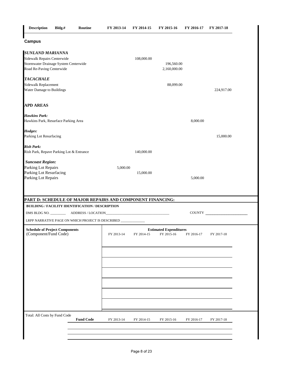| <b>Description</b>                                                                                                           | Bldg.#                                                         | Routine          | FY 2013-14 | FY 2014-15                                                                                                           | FY 2015-16                                  | FY 2016-17 | FY 2017-18           |
|------------------------------------------------------------------------------------------------------------------------------|----------------------------------------------------------------|------------------|------------|----------------------------------------------------------------------------------------------------------------------|---------------------------------------------|------------|----------------------|
| <b>Campus</b>                                                                                                                |                                                                |                  |            |                                                                                                                      |                                             |            |                      |
| <b>SUNLAND MARIANNA</b><br>Sidewalk Repairs Centerwide<br>Stormwater Drainage System Centerwide<br>Road Re-Paving Centerwide |                                                                |                  |            | 108,000.00                                                                                                           | 196,560.00<br>2,160,000.00                  |            |                      |
| <b>TACACHALE</b><br>Sidewalk Replacement<br>Water Damage to Buildings                                                        |                                                                |                  |            |                                                                                                                      | 88,099.00                                   |            | 224,917.00           |
| <b>APD AREAS</b>                                                                                                             |                                                                |                  |            |                                                                                                                      |                                             |            |                      |
| <b>Hawkins Park:</b><br>Hawkins Park, Resurface Parking Area                                                                 |                                                                |                  |            |                                                                                                                      |                                             | 8,000.00   |                      |
| Hodges:<br>Parking Lot Resurfacing                                                                                           |                                                                |                  |            |                                                                                                                      |                                             |            | 15,000.00            |
| <b>Rish Park:</b><br>Rish Park, Repave Parking Lot & Entrance                                                                |                                                                |                  |            | 140,000.00                                                                                                           |                                             |            |                      |
| <b>Suncoast Region:</b><br>Parking Lot Repairs<br>Parking Lot Resurfacing<br>Parking Lot Repairs                             |                                                                |                  | 5,000.00   | 15,000.00                                                                                                            |                                             | 5,000.00   |                      |
| PART D: SCHEDULE OF MAJOR REPAIRS AND COMPONENT FINANCING:                                                                   |                                                                |                  |            |                                                                                                                      |                                             |            |                      |
| <b>BUILDING / FACILITY IDENTIFICATION / DESCRIPTION</b>                                                                      |                                                                |                  |            | <u> 1990 - Johann John Stone, mars eta bat eta bat eta bat eta bat eta bat eta bat eta bat eta bat eta bat eta b</u> |                                             |            | <b>COUNTY</b> COUNTY |
| LRPP NARRATIVE PAGE ON WHICH PROJECT IS DESCRIBED _                                                                          |                                                                |                  |            |                                                                                                                      |                                             |            |                      |
|                                                                                                                              | <b>Schedule of Project Components</b><br>(Component/Fund Code) |                  | FY 2013-14 | FY 2014-15                                                                                                           | <b>Estimated Expenditures</b><br>FY 2015-16 | FY 2016-17 | FY 2017-18           |
|                                                                                                                              |                                                                |                  |            |                                                                                                                      |                                             |            |                      |
|                                                                                                                              |                                                                |                  |            |                                                                                                                      |                                             |            |                      |
| Total: All Costs by Fund Code                                                                                                |                                                                | <b>Fund Code</b> | FY 2013-14 | FY 2014-15                                                                                                           | FY 2015-16                                  | FY 2016-17 | FY 2017-18           |
|                                                                                                                              |                                                                |                  |            |                                                                                                                      |                                             |            |                      |
|                                                                                                                              |                                                                |                  |            |                                                                                                                      |                                             |            |                      |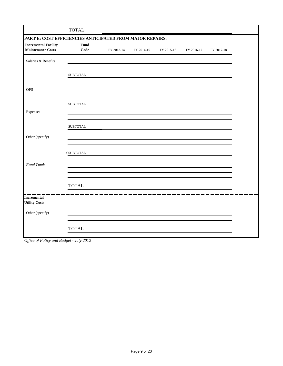|                                                           | <b>TOTAL</b>     |            |            |            |            |            |  |  |  |  |
|-----------------------------------------------------------|------------------|------------|------------|------------|------------|------------|--|--|--|--|
| PART E: COST EFFICIENCIES ANTICIPATED FROM MAJOR REPAIRS: |                  |            |            |            |            |            |  |  |  |  |
| <b>Incremental Facility</b><br><b>Maintenance Costs</b>   | Fund<br>Code     | FY 2013-14 | FY 2014-15 | FY 2015-16 | FY 2016-17 | FY 2017-18 |  |  |  |  |
| Salaries & Benefits                                       |                  |            |            |            |            |            |  |  |  |  |
|                                                           | <b>SUBTOTAL</b>  |            |            |            |            |            |  |  |  |  |
| <b>OPS</b>                                                |                  |            |            |            |            |            |  |  |  |  |
|                                                           | <b>SUBTOTAL</b>  |            |            |            |            |            |  |  |  |  |
| Expenses                                                  |                  |            |            |            |            |            |  |  |  |  |
|                                                           | <b>SUBTOTAL</b>  |            |            |            |            |            |  |  |  |  |
| Other (specify)                                           |                  |            |            |            |            |            |  |  |  |  |
|                                                           | <b>CSUBTOTAL</b> |            |            |            |            |            |  |  |  |  |
| <b>Fund Totals</b>                                        |                  |            |            |            |            |            |  |  |  |  |
|                                                           | <b>TOTAL</b>     |            |            |            |            |            |  |  |  |  |
| <b>Incremental</b>                                        |                  |            |            |            |            |            |  |  |  |  |
| <b>Utility Costs</b>                                      |                  |            |            |            |            |            |  |  |  |  |
| Other (specify)                                           |                  |            |            |            |            |            |  |  |  |  |
|                                                           | <b>TOTAL</b>     |            |            |            |            |            |  |  |  |  |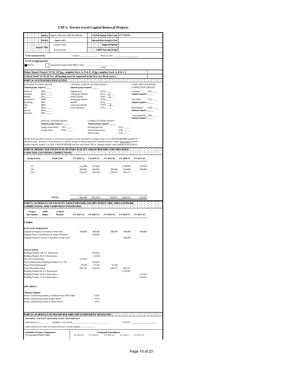|                                                                    | Agency:                     | <b>Agency Persons with Disabilities</b>                                                                                                                                                                                                             |                                                         |                                           | <b>LAS/PBS Budget Entity Code:</b>  | 67100300             |                                                |      |  |  |
|--------------------------------------------------------------------|-----------------------------|-----------------------------------------------------------------------------------------------------------------------------------------------------------------------------------------------------------------------------------------------------|---------------------------------------------------------|-------------------------------------------|-------------------------------------|----------------------|------------------------------------------------|------|--|--|
|                                                                    | Service:                    | Agency-wide                                                                                                                                                                                                                                         |                                                         |                                           | <b>Appropriation Category Code:</b> |                      |                                                |      |  |  |
|                                                                    | $\bullet$<br>Project Title: | Central Utility                                                                                                                                                                                                                                     |                                                         |                                           | Agency Priority:                    |                      |                                                |      |  |  |
|                                                                    | 12 M.H                      | <b>System Group</b>                                                                                                                                                                                                                                 |                                                         |                                           | <b>LRPP</b> Narrative Page:         |                      |                                                |      |  |  |
| To be constructed by:                                              |                             |                                                                                                                                                                                                                                                     | Contract                                                |                                           | Force account                       |                      |                                                |      |  |  |
| Level of Aggregation:                                              |                             |                                                                                                                                                                                                                                                     |                                                         |                                           |                                     |                      |                                                |      |  |  |
| Service<br>Institution/Campus (SUS/SBCC only):<br><b>NAME</b>      |                             |                                                                                                                                                                                                                                                     |                                                         |                                           |                                     |                      |                                                |      |  |  |
|                                                                    |                             | Major Repair Project? (Y/N) (If <u>Yes,</u> complete Parts A, D & E; if <u>No,</u> complete Parts A, B & C.)                                                                                                                                        |                                                         |                                           |                                     |                      |                                                |      |  |  |
|                                                                    |                             | Critical Need? (Y/N) (If Yes, all funding must be requested in the first two fiscal years.)                                                                                                                                                         |                                                         |                                           |                                     |                      |                                                |      |  |  |
|                                                                    |                             |                                                                                                                                                                                                                                                     |                                                         |                                           |                                     |                      |                                                |      |  |  |
| <b>BUILDING SYSTEM GROUP</b><br>Annual group request?              |                             |                                                                                                                                                                                                                                                     | CENTRAL UTILITY SYSTEM GROUP<br>Annual group request? _ |                                           |                                     |                      | CODE AND LICENSURE<br><b>CORRECTION GROUPS</b> |      |  |  |
| electrical                                                         | (BE)                        |                                                                                                                                                                                                                                                     | cogeneration                                            |                                           | (UG)                                |                      | Licensure                                      | (LC) |  |  |
| envelope<br>interior                                               | (BX)<br>(BI)                |                                                                                                                                                                                                                                                     | cooling gen./distrib.<br>electric distrib.              |                                           | $(UC)$ $X$<br>$(UD)$ $X$            |                      | Annual request?                                |      |  |  |
| mechanical<br>plumbing                                             | (BM)<br>(BP)                |                                                                                                                                                                                                                                                     | heating gen./distrib.<br>landfill                       |                                           | $UH$ )<br>(UL)                      |                      | Life Safety<br><b>Annual request?</b>          | (LS) |  |  |
| roof                                                               | (BR)                        |                                                                                                                                                                                                                                                     | water treat./distrib.                                   |                                           | $(UW)$ $X$                          |                      |                                                |      |  |  |
| site<br>special                                                    | (BG)<br>(BD)                |                                                                                                                                                                                                                                                     | waste treatment                                         |                                           | $(US)$ <sub>______</sub>            |                      | Handicapped<br>Annual request? _____           | (LH) |  |  |
| structural                                                         | (BS)                        |                                                                                                                                                                                                                                                     |                                                         |                                           |                                     |                      | Environmental (LE)                             |      |  |  |
|                                                                    |                             | SPECIAL SYSTEM GROUP<br>Annual group request?                                                                                                                                                                                                       |                                                         | CAMPUS SYSTEM GROUP                       |                                     |                      | Annual request? __                             |      |  |  |
|                                                                    |                             | energy conservation<br>(SC)                                                                                                                                                                                                                         |                                                         | Annual group request?<br>drainage/grounds |                                     | (CG)                 |                                                |      |  |  |
|                                                                    | storage tanks               | (SX)                                                                                                                                                                                                                                                |                                                         | road system paving<br>other paving        |                                     | (CR)<br>(CP)         |                                                |      |  |  |
|                                                                    |                             | NOTE: If at least three systems or at least two groups are to be repaired in a single project, it is a MAJOR REPAIR and Part D                                                                                                                      |                                                         |                                           |                                     |                      |                                                |      |  |  |
|                                                                    |                             | should be used. If three or more systems in a facility group are being repaired in separate projects within <u>one group's</u> general                                                                                                              |                                                         |                                           |                                     |                      |                                                |      |  |  |
|                                                                    |                             | capital renewal request, it is NOT a MAJOR REPAIR and you will answer YES to "annual request" and complete Parts B and C.                                                                                                                           |                                                         |                                           |                                     |                      |                                                |      |  |  |
|                                                                    |                             | PART B. PROJECTED FINANCE PLAN FOR FACILITY OROUP REPAIRS, AND SPECIFIED<br>$\text{CODE AND LICBNSURE}$ $\text{CORRE}$ $\text{CORRECFIONS}$ $\text{CPT}$ $\text{CPT}$ $\text{CPT}$ $\text{CPT}$ $\text{CPT}$ $\text{CPT}$ $\text{CPT}$ $\text{CPT}$ |                                                         |                                           |                                     |                      |                                                |      |  |  |
| Group/System                                                       |                             | <b>Fund Code</b>                                                                                                                                                                                                                                    | FY 2013-14                                              | FY 2014-15                                | FY 2015-16                          | FY 2016-17           | FY 2017-18                                     |      |  |  |
|                                                                    |                             |                                                                                                                                                                                                                                                     |                                                         |                                           |                                     |                      |                                                |      |  |  |
| UC<br>UD                                                           |                             |                                                                                                                                                                                                                                                     | 141,900<br>388,800                                      | 471,601<br>638,800                        | 388,800                             | 1,750,095<br>928,800 | 235,045<br>388,800                             |      |  |  |
| UW                                                                 |                             |                                                                                                                                                                                                                                                     | 276,238                                                 | 295,549                                   | 276,237                             | 206,137              |                                                |      |  |  |
|                                                                    |                             |                                                                                                                                                                                                                                                     |                                                         |                                           |                                     |                      |                                                |      |  |  |
|                                                                    |                             |                                                                                                                                                                                                                                                     |                                                         |                                           |                                     |                      |                                                |      |  |  |
|                                                                    |                             |                                                                                                                                                                                                                                                     |                                                         |                                           |                                     |                      |                                                |      |  |  |
|                                                                    |                             |                                                                                                                                                                                                                                                     |                                                         |                                           |                                     |                      |                                                |      |  |  |
|                                                                    |                             | <b>TOTAL</b>                                                                                                                                                                                                                                        | 806,938                                                 | 1,405,950                                 | 665,037                             | 2,885,032            | 623,845                                        |      |  |  |
|                                                                    |                             |                                                                                                                                                                                                                                                     |                                                         |                                           |                                     |                      |                                                |      |  |  |
|                                                                    |                             | PART C: SCHEDULE OF FACILITY GROUP REPAIRS, OR SPECIFIED CODE AND LICENSURE<br>CORRECTIONS, AND COMPONENT FINANCING:                                                                                                                                |                                                         |                                           |                                     |                      |                                                |      |  |  |
| Project                                                            | <b>DMS</b>                  | Critical                                                                                                                                                                                                                                            |                                                         |                                           |                                     |                      |                                                |      |  |  |
| <b>Description</b>                                                 | Bldg.#                      | Routine                                                                                                                                                                                                                                             | FY 2013-14                                              | FY 2014-15                                | FY 2015-16                          | FY 2016-17           | FY 2017-18                                     |      |  |  |
| Campus                                                             |                             |                                                                                                                                                                                                                                                     |                                                         |                                           |                                     |                      |                                                |      |  |  |
| <b>SUNLAND MARIANNA</b>                                            |                             |                                                                                                                                                                                                                                                     |                                                         |                                           |                                     |                      |                                                |      |  |  |
| Upgrade Emergency Generators Centerwide                            |                             |                                                                                                                                                                                                                                                     | 388,800                                                 | 388,800                                   | 388,800                             | 388,800              | 388,800                                        |      |  |  |
|                                                                    |                             | Upgrade Power Transformers & Surge Protection<br>Upgrade Electrical Service to Resident Living Areas                                                                                                                                                |                                                         | 250,000                                   |                                     | 540,000              |                                                |      |  |  |
|                                                                    |                             |                                                                                                                                                                                                                                                     |                                                         |                                           |                                     |                      |                                                |      |  |  |
|                                                                    |                             |                                                                                                                                                                                                                                                     |                                                         |                                           |                                     |                      |                                                |      |  |  |
| <b>TACACHALE</b><br>Building Number 106 A/C Renovation             |                             |                                                                                                                                                                                                                                                     |                                                         | 195.649                                   |                                     |                      |                                                |      |  |  |
| Building Number 88 A/C Renovation                                  |                             |                                                                                                                                                                                                                                                     |                                                         | 32,036                                    |                                     |                      |                                                |      |  |  |
| <b>Gym Air Conditioning</b>                                        |                             | HVAC Renovations Building Numbers 131-134                                                                                                                                                                                                           | 141,900                                                 | 243,916                                   |                                     |                      |                                                |      |  |  |
| Water Main Replacement                                             |                             |                                                                                                                                                                                                                                                     | 70,100                                                  | 70,100                                    | 70,100                              |                      |                                                |      |  |  |
| <b>Water Plant Renovation</b><br>Building Number 40 A/C Renovation |                             |                                                                                                                                                                                                                                                     | 206,138                                                 | 206,138                                   | 206,137                             | 206,137<br>1,750,095 |                                                |      |  |  |
| Building Number 34 A/C Renovation                                  |                             |                                                                                                                                                                                                                                                     |                                                         |                                           |                                     |                      | 111,926                                        |      |  |  |
| Building Number 15 A/C Renovation                                  |                             |                                                                                                                                                                                                                                                     |                                                         |                                           |                                     |                      |                                                |      |  |  |
|                                                                    |                             |                                                                                                                                                                                                                                                     |                                                         |                                           |                                     |                      | 123,119                                        |      |  |  |
| <b>APD AREAS</b>                                                   |                             |                                                                                                                                                                                                                                                     |                                                         |                                           |                                     |                      |                                                |      |  |  |
|                                                                    |                             |                                                                                                                                                                                                                                                     |                                                         |                                           |                                     |                      |                                                |      |  |  |
| <b>Suncoast Region:</b>                                            |                             | Water Conditioning System at Administration Office Hub                                                                                                                                                                                              |                                                         | 6,437                                     |                                     |                      |                                                |      |  |  |
| Water Conditioning System at Blue House                            |                             |                                                                                                                                                                                                                                                     |                                                         | 6,437                                     |                                     |                      |                                                |      |  |  |
| Water Conditioning System at Brown House                           |                             |                                                                                                                                                                                                                                                     |                                                         | 6,437                                     |                                     |                      |                                                |      |  |  |
|                                                                    |                             |                                                                                                                                                                                                                                                     |                                                         |                                           |                                     |                      |                                                |      |  |  |
|                                                                    |                             |                                                                                                                                                                                                                                                     |                                                         |                                           |                                     |                      |                                                |      |  |  |
| DMS BLDG NO.                                                       |                             | BUILDING / FACILITY IDENTIFICATION / DESCRIPTION<br>ADDRESS / LOCATION                                                                                                                                                                              |                                                         |                                           |                                     | COUNTY               |                                                |      |  |  |
|                                                                    |                             | LRPP NARRATIVE PAGE ON WHICH PROJECT IS DESCRIBED                                                                                                                                                                                                   |                                                         |                                           |                                     |                      |                                                |      |  |  |
| <b>Schedule of Project Components</b>                              |                             |                                                                                                                                                                                                                                                     |                                                         |                                           | <b>Estimated Expenditures</b>       |                      |                                                |      |  |  |
| (Component/Fund Code)                                              |                             |                                                                                                                                                                                                                                                     | FY 2013-14                                              | FY 2014-15                                | FY 2015-16                          | FY 2016-17           | FY 2017-18                                     |      |  |  |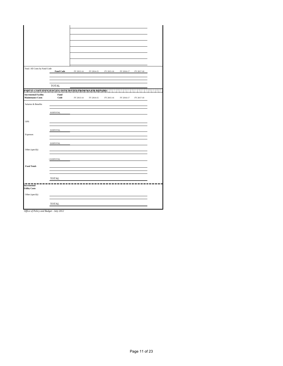| Total: All Costs by Fund Code                           | <b>Fund Code</b> | FY 2013-14 | FY 2014-15 | FY 2015-16 | FY 2016-17 | FY 2017-18 |  |
|---------------------------------------------------------|------------------|------------|------------|------------|------------|------------|--|
|                                                         |                  |            |            |            |            |            |  |
|                                                         |                  |            |            |            |            |            |  |
|                                                         |                  |            |            |            |            |            |  |
|                                                         | <b>TOTAL</b>     |            |            |            |            |            |  |
|                                                         | Fund             |            |            |            |            |            |  |
| <b>Incremental Facility</b><br><b>Maintenance Costs</b> | Code             | FY 2013-14 | FY 2014-15 | FY 2015-16 | FY 2016-17 | FY 2017-18 |  |
|                                                         |                  |            |            |            |            |            |  |
| Salaries & Benefits                                     |                  |            |            |            |            |            |  |
|                                                         |                  |            |            |            |            |            |  |
|                                                         | ${\tt SUBTOTAL}$ |            |            |            |            |            |  |
| OPS                                                     |                  |            |            |            |            |            |  |
|                                                         |                  |            |            |            |            |            |  |
|                                                         | <b>SUBTOTAL</b>  |            |            |            |            |            |  |
| Expenses                                                |                  |            |            |            |            |            |  |
|                                                         |                  |            |            |            |            |            |  |
|                                                         | <b>SUBTOTAL</b>  |            |            |            |            |            |  |
|                                                         |                  |            |            |            |            |            |  |
| Other (specify)                                         |                  |            |            |            |            |            |  |
|                                                         |                  |            |            |            |            |            |  |
|                                                         | ( SUBTOTAL       |            |            |            |            |            |  |
|                                                         |                  |            |            |            |            |            |  |
| <b>Fund Totals</b>                                      |                  |            |            |            |            |            |  |
|                                                         |                  |            |            |            |            |            |  |
|                                                         | <b>TOTAL</b>     |            |            |            |            |            |  |
|                                                         |                  |            |            |            |            |            |  |
| Incremental                                             |                  |            |            |            |            |            |  |
| <b>Utility Costs</b>                                    |                  |            |            |            |            |            |  |
| Other (specify)                                         |                  |            |            |            |            |            |  |
|                                                         |                  |            |            |            |            |            |  |
|                                                         | <b>TOTAL</b>     |            |            |            |            |            |  |
|                                                         |                  |            |            |            |            |            |  |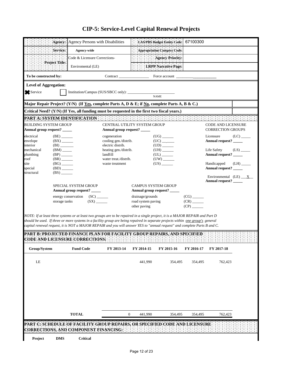|                                                                                                                                             | Agency:                                              | Agency Persons with Disabilities                                                                                                |                                            |                                        | <b>LAS/PBS Budget Entity Code:</b> | 67100300                                              |                                              |      |  |  |
|---------------------------------------------------------------------------------------------------------------------------------------------|------------------------------------------------------|---------------------------------------------------------------------------------------------------------------------------------|--------------------------------------------|----------------------------------------|------------------------------------|-------------------------------------------------------|----------------------------------------------|------|--|--|
|                                                                                                                                             | Service:                                             | Agency-wide                                                                                                                     |                                            |                                        | Appropriation Category Code:       |                                                       |                                              |      |  |  |
|                                                                                                                                             |                                                      | Code & Licensure Corrections-                                                                                                   |                                            |                                        | <b>Agency Priority:</b>            |                                                       |                                              |      |  |  |
|                                                                                                                                             | Project Title:                                       | Enviromental (LE)                                                                                                               |                                            |                                        | <b>LRPP Narrative Page:</b>        |                                                       |                                              |      |  |  |
| To be constructed by:                                                                                                                       |                                                      |                                                                                                                                 | Contract                                   |                                        | Force account                      |                                                       |                                              |      |  |  |
| <b>Level of Aggregation:</b>                                                                                                                |                                                      |                                                                                                                                 |                                            |                                        |                                    |                                                       |                                              |      |  |  |
| Service                                                                                                                                     |                                                      |                                                                                                                                 |                                            |                                        |                                    |                                                       |                                              |      |  |  |
|                                                                                                                                             |                                                      |                                                                                                                                 |                                            |                                        |                                    |                                                       |                                              |      |  |  |
|                                                                                                                                             |                                                      | Major Repair Project? (Y/N) (If Yes, complete Parts A, D & E; if No, complete Parts A, B & C.)                                  |                                            |                                        |                                    |                                                       |                                              |      |  |  |
| Critical Need? (Y/N) (If Yes, all funding must be requested in the first two fiscal years.)<br><b>PART A: SYSTEM IDENTIFICATION ENDING:</b> |                                                      |                                                                                                                                 |                                            |                                        |                                    |                                                       |                                              |      |  |  |
| <b>BUILDING SYSTEM GROUP</b>                                                                                                                |                                                      |                                                                                                                                 | CENTRAL UTILITY SYSTEM GROUP               |                                        |                                    |                                                       | <b>CODE AND LICENSURE</b>                    |      |  |  |
| Annual group request? _____                                                                                                                 |                                                      |                                                                                                                                 | Annual group request?                      |                                        |                                    |                                                       | <b>CORRECTION GROUPS</b>                     |      |  |  |
| electrical                                                                                                                                  | $(BE)$ <sub>______</sub>                             |                                                                                                                                 | cogeneration                               |                                        |                                    |                                                       | Licensure                                    | (LC) |  |  |
| envelope<br>interior                                                                                                                        | $(BX)$ <sub>______</sub><br>(BI)                     |                                                                                                                                 | cooling gen./distrib.<br>electric distrib. |                                        |                                    |                                                       | Annual request? _____                        |      |  |  |
| mechanical                                                                                                                                  | $(BM)$ <sub>_____</sub>                              |                                                                                                                                 | heating gen./distrib.                      |                                        |                                    |                                                       | Life Safety                                  | (LS) |  |  |
| plumbing<br>roof                                                                                                                            | $(BP)$ <sub>______</sub><br>$(BR)$ <sub>______</sub> |                                                                                                                                 | landfill<br>water treat./distrib.          |                                        | (UL)<br>$(UW)$ <sub>______</sub>   |                                                       | Annual request? _____                        |      |  |  |
| site                                                                                                                                        | $(BG)$ <sub>_______</sub>                            |                                                                                                                                 | waste treatment                            |                                        | (US)                               |                                                       | Handicapped                                  | (LH) |  |  |
| special<br>structural                                                                                                                       | $(BD)$ <sub>______</sub><br>$(BS)$ <sub>____</sub>   |                                                                                                                                 |                                            |                                        |                                    |                                                       | Annual request? _____                        |      |  |  |
|                                                                                                                                             |                                                      |                                                                                                                                 |                                            |                                        |                                    |                                                       | Environmental $(LE)$ __X_<br>Annual request? |      |  |  |
|                                                                                                                                             |                                                      | SPECIAL SYSTEM GROUP                                                                                                            |                                            | <b>CAMPUS SYSTEM GROUP</b>             |                                    |                                                       |                                              |      |  |  |
|                                                                                                                                             |                                                      | Annual group request? _____                                                                                                     |                                            |                                        | Annual group request? _____        |                                                       |                                              |      |  |  |
|                                                                                                                                             | storage tanks                                        | energy conservation<br>(SX)                                                                                                     |                                            | drainage/grounds<br>road system paving |                                    | $(CG)$ <sub>_______</sub><br>$(CR)$ <sub>______</sub> |                                              |      |  |  |
|                                                                                                                                             |                                                      |                                                                                                                                 |                                            | other paving                           |                                    |                                                       |                                              |      |  |  |
|                                                                                                                                             |                                                      | NOTE: If at least three systems or at least two groups are to be repaired in a single project, it is a MAJOR REPAIR and Part D  |                                            |                                        |                                    |                                                       |                                              |      |  |  |
|                                                                                                                                             |                                                      | should be used. If three or more systems in a facility group are being repaired in separate projects within one group's general |                                            |                                        |                                    |                                                       |                                              |      |  |  |
|                                                                                                                                             |                                                      | capital renewal request, it is NOT a MAJOR REPAIR and you will answer YES to "annual request" and complete Parts B and C.       |                                            |                                        |                                    |                                                       |                                              |      |  |  |
|                                                                                                                                             |                                                      | PART B: PROJECTED FINANCE PLAN FOR FACILITY GROUP REPAIRS, AND SPECIFIED                                                        |                                            |                                        |                                    |                                                       |                                              |      |  |  |
|                                                                                                                                             |                                                      | <b>CODE AND LICENSURE CORRECTIONS:</b>                                                                                          |                                            |                                        |                                    |                                                       |                                              |      |  |  |
| Group/System                                                                                                                                |                                                      | <b>Fund Code</b>                                                                                                                | FY 2013-14                                 | FY 2014-15                             | FY 2015-16                         | FY 2016-17                                            | FY 2017-18                                   |      |  |  |
| LE                                                                                                                                          |                                                      |                                                                                                                                 |                                            | 441,990                                | 354,495                            | 354,495                                               | 762,423                                      |      |  |  |
|                                                                                                                                             |                                                      |                                                                                                                                 |                                            |                                        |                                    |                                                       |                                              |      |  |  |
|                                                                                                                                             |                                                      |                                                                                                                                 |                                            |                                        |                                    |                                                       |                                              |      |  |  |
|                                                                                                                                             |                                                      |                                                                                                                                 |                                            |                                        |                                    |                                                       |                                              |      |  |  |
|                                                                                                                                             |                                                      |                                                                                                                                 |                                            |                                        |                                    |                                                       |                                              |      |  |  |
|                                                                                                                                             |                                                      |                                                                                                                                 |                                            |                                        |                                    |                                                       |                                              |      |  |  |
|                                                                                                                                             |                                                      |                                                                                                                                 |                                            |                                        |                                    |                                                       |                                              |      |  |  |
|                                                                                                                                             |                                                      |                                                                                                                                 |                                            |                                        |                                    |                                                       |                                              |      |  |  |
|                                                                                                                                             |                                                      | <b>TOTAL</b>                                                                                                                    | $\boldsymbol{0}$                           | 441,990                                | 354,495                            | 354,495                                               | 762,423                                      |      |  |  |
|                                                                                                                                             |                                                      | PART C. SCHEDULE OF FACILITY GROUP REPAIRS, OR SPECIFIED CODE AND LICENSURE<br>ORRECTIONS, AND COMPONENT FINANCING:             |                                            |                                        |                                    |                                                       |                                              |      |  |  |
| Project                                                                                                                                     | <b>DMS</b>                                           | <b>Critical</b>                                                                                                                 |                                            |                                        |                                    |                                                       |                                              |      |  |  |
|                                                                                                                                             |                                                      |                                                                                                                                 |                                            |                                        |                                    |                                                       |                                              |      |  |  |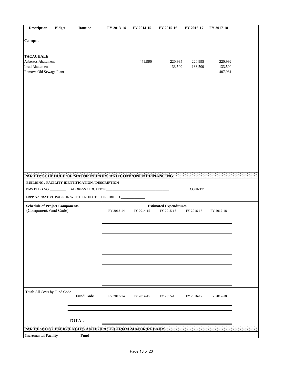|                                                                                                                       |                                                  | FY 2013-14                                                 | FY 2014-15 | FY 2015-16                                  | FY 2016-17         | FY 2017-18                    |
|-----------------------------------------------------------------------------------------------------------------------|--------------------------------------------------|------------------------------------------------------------|------------|---------------------------------------------|--------------------|-------------------------------|
| <b>Campus</b>                                                                                                         |                                                  |                                                            |            |                                             |                    |                               |
| <b>TACACHALE</b><br>Asbestos Abatement<br><b>Lead Abatement</b><br>Remove Old Sewage Plant                            |                                                  |                                                            | 441,990    | 220,995<br>133,500                          | 220,995<br>133,500 | 220,992<br>133,500<br>407,931 |
|                                                                                                                       |                                                  |                                                            |            |                                             |                    |                               |
|                                                                                                                       |                                                  |                                                            |            |                                             |                    |                               |
|                                                                                                                       |                                                  | PART D. SCHEDULE OF MAJOR REPAIRS AND COMPONENT FINANCING: |            |                                             |                    |                               |
|                                                                                                                       | BUILDING / FACILITY IDENTIFICATION / DESCRIPTION |                                                            |            |                                             | $\sim$ $\sim$      | $\sim$ $\sim$<br>COUNTY       |
|                                                                                                                       |                                                  |                                                            |            |                                             |                    |                               |
| LRPP NARRATIVE PAGE ON WHICH PROJECT IS DESCRIBED _<br><b>Schedule of Project Components</b><br>(Component/Fund Code) |                                                  |                                                            |            |                                             |                    |                               |
|                                                                                                                       |                                                  | FY 2013-14                                                 | FY 2014-15 | <b>Estimated Expenditures</b><br>FY 2015-16 | FY 2016-17         | FY 2017-18                    |
|                                                                                                                       |                                                  |                                                            |            |                                             |                    |                               |
|                                                                                                                       |                                                  |                                                            |            |                                             |                    |                               |
|                                                                                                                       |                                                  |                                                            |            |                                             |                    |                               |
| Total: All Costs by Fund Code                                                                                         |                                                  |                                                            |            |                                             |                    |                               |
|                                                                                                                       | <b>Fund Code</b>                                 | FY 2013-14                                                 | FY 2014-15 | FY 2015-16                                  | FY 2016-17         | FY 2017-18                    |
|                                                                                                                       | <b>TOTAL</b>                                     |                                                            |            |                                             |                    |                               |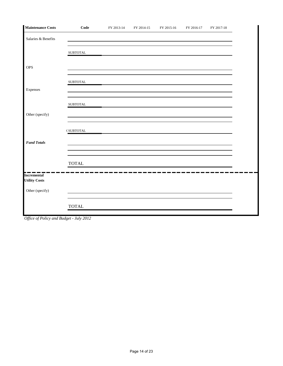| <b>Maintenance Costs</b>                   | Code             | FY 2013-14 | FY 2014-15 | FY 2015-16 | FY 2016-17 | FY 2017-18 |
|--------------------------------------------|------------------|------------|------------|------------|------------|------------|
| Salaries & Benefits                        |                  |            |            |            |            |            |
|                                            | <b>SUBTOTAL</b>  |            |            |            |            |            |
| <b>OPS</b>                                 |                  |            |            |            |            |            |
|                                            | <b>SUBTOTAL</b>  |            |            |            |            |            |
| Expenses                                   |                  |            |            |            |            |            |
|                                            | <b>SUBTOTAL</b>  |            |            |            |            |            |
| Other (specify)                            |                  |            |            |            |            |            |
|                                            | <b>CSUBTOTAL</b> |            |            |            |            |            |
| <b>Fund Totals</b>                         |                  |            |            |            |            |            |
|                                            | <b>TOTAL</b>     |            |            |            |            |            |
| <b>Incremental</b><br><b>Utility Costs</b> |                  |            |            |            |            |            |
| Other (specify)                            |                  |            |            |            |            |            |
|                                            | <b>TOTAL</b>     |            |            |            |            |            |

*Office of Policy and Budget - July 2012*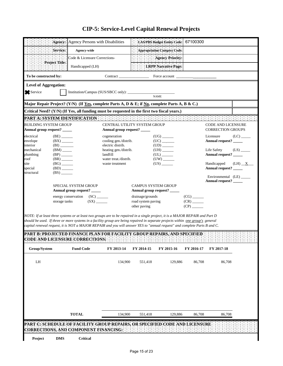|                                                                                                        |                                                     | Agency: Agency Persons with Disabilities                                                                                                                                                                                                                                                                                                                                                       |                                                                    |                                                        | <b>LAS/PBS Budget Entity Code:</b>                                                                                                                                                                                                                                                                                                                                                                                                                                                        | 67100300                                                      |                                                       |          |  |
|--------------------------------------------------------------------------------------------------------|-----------------------------------------------------|------------------------------------------------------------------------------------------------------------------------------------------------------------------------------------------------------------------------------------------------------------------------------------------------------------------------------------------------------------------------------------------------|--------------------------------------------------------------------|--------------------------------------------------------|-------------------------------------------------------------------------------------------------------------------------------------------------------------------------------------------------------------------------------------------------------------------------------------------------------------------------------------------------------------------------------------------------------------------------------------------------------------------------------------------|---------------------------------------------------------------|-------------------------------------------------------|----------|--|
|                                                                                                        | Service:                                            | Agency-wide                                                                                                                                                                                                                                                                                                                                                                                    |                                                                    |                                                        | <b>Appropriation Category Code:</b>                                                                                                                                                                                                                                                                                                                                                                                                                                                       |                                                               |                                                       |          |  |
|                                                                                                        |                                                     | Code & Licensure Corrections-                                                                                                                                                                                                                                                                                                                                                                  |                                                                    |                                                        | <b>Agency Priority:</b>                                                                                                                                                                                                                                                                                                                                                                                                                                                                   |                                                               |                                                       |          |  |
|                                                                                                        | Project Title:                                      | Handicapped (LH)                                                                                                                                                                                                                                                                                                                                                                               |                                                                    |                                                        | LRPP Narrative Page:                                                                                                                                                                                                                                                                                                                                                                                                                                                                      |                                                               |                                                       |          |  |
| To be constructed by:                                                                                  |                                                     |                                                                                                                                                                                                                                                                                                                                                                                                | Contract $\_\_$                                                    |                                                        | Force account                                                                                                                                                                                                                                                                                                                                                                                                                                                                             |                                                               |                                                       |          |  |
| <b>Level of Aggregation:</b>                                                                           |                                                     |                                                                                                                                                                                                                                                                                                                                                                                                |                                                                    |                                                        |                                                                                                                                                                                                                                                                                                                                                                                                                                                                                           |                                                               |                                                       |          |  |
| Service                                                                                                |                                                     |                                                                                                                                                                                                                                                                                                                                                                                                |                                                                    |                                                        | NAME                                                                                                                                                                                                                                                                                                                                                                                                                                                                                      |                                                               |                                                       |          |  |
| Major Repair Project? (Y/N) (If <u>Yes</u> , complete Parts A, D & E; if No, complete Parts A, B & C.) |                                                     |                                                                                                                                                                                                                                                                                                                                                                                                |                                                                    |                                                        |                                                                                                                                                                                                                                                                                                                                                                                                                                                                                           |                                                               |                                                       |          |  |
|                                                                                                        |                                                     | Critical Need? (Y/N) (If Yes, all funding must be requested in the first two fiscal years.)                                                                                                                                                                                                                                                                                                    |                                                                    |                                                        |                                                                                                                                                                                                                                                                                                                                                                                                                                                                                           |                                                               |                                                       |          |  |
|                                                                                                        |                                                     | PART A: SYSTEM IDENTIFICATION AND ALL AND ALL AND ALL AND ALL                                                                                                                                                                                                                                                                                                                                  |                                                                    |                                                        |                                                                                                                                                                                                                                                                                                                                                                                                                                                                                           |                                                               |                                                       |          |  |
| <b>BUILDING SYSTEM GROUP</b><br>Annual group request? _____                                            |                                                     |                                                                                                                                                                                                                                                                                                                                                                                                | <b>CENTRAL UTILITY SYSTEM GROUP</b><br>Annual group request? _____ |                                                        |                                                                                                                                                                                                                                                                                                                                                                                                                                                                                           |                                                               | <b>CODE AND LICENSURE</b><br><b>CORRECTION GROUPS</b> |          |  |
| electrical                                                                                             | (BE)                                                |                                                                                                                                                                                                                                                                                                                                                                                                | cogeneration                                                       |                                                        | $({\rm UG}) \begin{tabular}{c} \begin{tabular}{c} \multicolumn{2}{c} {\textbf{0}}\\ \multicolumn{2}{c} {\textbf{0}}\\ \multicolumn{2}{c} {\textbf{0}}\\ \multicolumn{2}{c} {\textbf{0}}\\ \multicolumn{2}{c} {\textbf{0}}\\ \multicolumn{2}{c} {\textbf{0}}\\ \multicolumn{2}{c} {\textbf{0}}\\ \multicolumn{2}{c} {\textbf{0}}\\ \multicolumn{2}{c} {\textbf{0}}\\ \multicolumn{2}{c} {\textbf{0}}\\ \multicolumn{2}{c} {\textbf{0}}\\ \multicolumn{2}{c} {\textbf{0}}\\ \multicolumn{2$ |                                                               | Licensure                                             | (LC)     |  |
| envelope<br>interior                                                                                   | (BX)<br>(BI)                                        |                                                                                                                                                                                                                                                                                                                                                                                                | cooling gen./distrib.<br>electric distrib.                         |                                                        |                                                                                                                                                                                                                                                                                                                                                                                                                                                                                           |                                                               | Annual request? _____                                 |          |  |
| mechanical<br>plumbing                                                                                 | $(BM)$ <sub>_____</sub><br>$(BP)$ <sub>______</sub> |                                                                                                                                                                                                                                                                                                                                                                                                | heating gen./distrib.<br>landfill                                  |                                                        |                                                                                                                                                                                                                                                                                                                                                                                                                                                                                           |                                                               | Life Safety<br>Annual request? _____                  | (LS)     |  |
| roof                                                                                                   | $(BR)$ <sub>______</sub>                            |                                                                                                                                                                                                                                                                                                                                                                                                | water treat./distrib.                                              |                                                        |                                                                                                                                                                                                                                                                                                                                                                                                                                                                                           |                                                               |                                                       |          |  |
| site<br>special                                                                                        | (BG)<br>(BD)                                        |                                                                                                                                                                                                                                                                                                                                                                                                | waste treatment                                                    |                                                        | (US)                                                                                                                                                                                                                                                                                                                                                                                                                                                                                      |                                                               | Handicapped<br>Annual request? _____                  | $(LH)$ X |  |
| structural                                                                                             | (BS)                                                |                                                                                                                                                                                                                                                                                                                                                                                                |                                                                    |                                                        |                                                                                                                                                                                                                                                                                                                                                                                                                                                                                           |                                                               | Environmental (LE) ______                             |          |  |
|                                                                                                        |                                                     | SPECIAL SYSTEM GROUP<br>Annual group request? _____                                                                                                                                                                                                                                                                                                                                            |                                                                    | <b>CAMPUS SYSTEM GROUP</b>                             | Annual group request? ____                                                                                                                                                                                                                                                                                                                                                                                                                                                                |                                                               | Annual request? _____                                 |          |  |
|                                                                                                        | storage tanks                                       | energy conservation<br>(SX)                                                                                                                                                                                                                                                                                                                                                                    |                                                                    | drainage/grounds<br>road system paving<br>other paving |                                                                                                                                                                                                                                                                                                                                                                                                                                                                                           | $(CG)$ <sub>_______</sub><br>$(CR)$ <sub>______</sub><br>(CP) |                                                       |          |  |
|                                                                                                        |                                                     | NOTE: If at least three systems or at least two groups are to be repaired in a single project, it is a MAJOR REPAIR and Part D<br>should be used. If three or more systems in a facility group are being repaired in separate projects within one group's general<br>capital renewal request, it is NOT a MAJOR REPAIR and you will answer YES to "annual request" and complete Parts B and C. |                                                                    |                                                        |                                                                                                                                                                                                                                                                                                                                                                                                                                                                                           |                                                               |                                                       |          |  |
|                                                                                                        |                                                     | PART B: PROJECTED FINANCE PLAN FOR FACILITY GROUP REPAIRS, AND SPECIFIED<br><b>CODE AND LICENSURE CORRECTIONS:</b>                                                                                                                                                                                                                                                                             |                                                                    |                                                        |                                                                                                                                                                                                                                                                                                                                                                                                                                                                                           |                                                               |                                                       |          |  |
| Group/System                                                                                           |                                                     | <b>Fund Code</b>                                                                                                                                                                                                                                                                                                                                                                               | FY 2013-14                                                         | FY 2014-15                                             | FY 2015-16                                                                                                                                                                                                                                                                                                                                                                                                                                                                                | FY 2016-17                                                    | FY 2017-18                                            |          |  |
| ${\rm LH}$                                                                                             |                                                     |                                                                                                                                                                                                                                                                                                                                                                                                | 134,900                                                            | 551,418                                                | 129,886                                                                                                                                                                                                                                                                                                                                                                                                                                                                                   | 86,708                                                        | 86,708                                                |          |  |
|                                                                                                        |                                                     |                                                                                                                                                                                                                                                                                                                                                                                                |                                                                    |                                                        |                                                                                                                                                                                                                                                                                                                                                                                                                                                                                           |                                                               |                                                       |          |  |
|                                                                                                        |                                                     |                                                                                                                                                                                                                                                                                                                                                                                                |                                                                    |                                                        |                                                                                                                                                                                                                                                                                                                                                                                                                                                                                           |                                                               |                                                       |          |  |
|                                                                                                        |                                                     |                                                                                                                                                                                                                                                                                                                                                                                                |                                                                    |                                                        |                                                                                                                                                                                                                                                                                                                                                                                                                                                                                           |                                                               |                                                       |          |  |
|                                                                                                        |                                                     |                                                                                                                                                                                                                                                                                                                                                                                                |                                                                    |                                                        |                                                                                                                                                                                                                                                                                                                                                                                                                                                                                           |                                                               |                                                       |          |  |
|                                                                                                        |                                                     | <b>TOTAL</b>                                                                                                                                                                                                                                                                                                                                                                                   | 134,900                                                            | 551,418                                                | 129,886                                                                                                                                                                                                                                                                                                                                                                                                                                                                                   | 86,708                                                        | 86,708                                                |          |  |
|                                                                                                        |                                                     | ART Ć. SCHEDULE OF FACILITY GROUP REPAIRS, OR SPECIFIED CODE AND LICENSURE<br>ORRECTIONS, AND COMPONENT FINANCING:                                                                                                                                                                                                                                                                             |                                                                    |                                                        |                                                                                                                                                                                                                                                                                                                                                                                                                                                                                           |                                                               |                                                       |          |  |
| Project                                                                                                | <b>DMS</b>                                          | <b>Critical</b>                                                                                                                                                                                                                                                                                                                                                                                |                                                                    |                                                        |                                                                                                                                                                                                                                                                                                                                                                                                                                                                                           |                                                               |                                                       |          |  |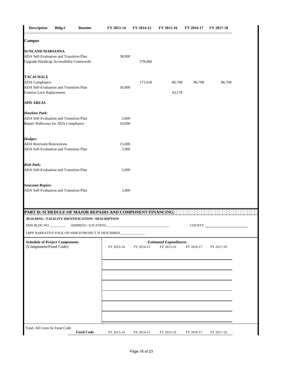| <b>Description</b>                                                          | Bldg.# | Routine                                           | FY 2013-14                                                 | FY 2014-15 | FY 2015-16                                  | FY 2016-17    | FY 2017-18 |
|-----------------------------------------------------------------------------|--------|---------------------------------------------------|------------------------------------------------------------|------------|---------------------------------------------|---------------|------------|
| <b>Campus</b>                                                               |        |                                                   |                                                            |            |                                             |               |            |
| <b>SUNLAND MARIANNA</b>                                                     |        |                                                   |                                                            |            |                                             |               |            |
| ADA Self-Evaluation and Transition Plan                                     |        |                                                   | 38,000                                                     |            |                                             |               |            |
| <b>Upgrade Handicap Accessibility Centerwide</b>                            |        |                                                   |                                                            | 378,000    |                                             |               |            |
| <b>TACACHALE</b>                                                            |        |                                                   |                                                            |            |                                             |               |            |
| <b>ADA</b> Compliance                                                       |        |                                                   |                                                            | 173,418    | 86,708                                      | 86,708        | 86,708     |
| ADA Self-Evaluation and Transition Plan<br><b>Exterior Lock Replacement</b> |        |                                                   | 56,000                                                     |            | 43,178                                      |               |            |
| <b>APD AREAS</b>                                                            |        |                                                   |                                                            |            |                                             |               |            |
| <b>Hawkins Park:</b>                                                        |        |                                                   |                                                            |            |                                             |               |            |
| ADA Self-Evaluation and Transition Plan                                     |        |                                                   | 3,600                                                      |            |                                             |               |            |
| Repair Walkways for ADA Compliance                                          |        |                                                   | 10,000                                                     |            |                                             |               |            |
| Hodges:                                                                     |        |                                                   |                                                            |            |                                             |               |            |
| <b>ADA Restroom Renovations</b>                                             |        |                                                   | 15,000                                                     |            |                                             |               |            |
| ADA Self-Evaluation and Transition Plan                                     |        |                                                   | 3,900                                                      |            |                                             |               |            |
| <b>Rish Park:</b>                                                           |        |                                                   |                                                            |            |                                             |               |            |
| ADA Self-Evaluation and Transition Plan                                     |        |                                                   | 5,000                                                      |            |                                             |               |            |
| <b>Suncoast Region:</b>                                                     |        |                                                   |                                                            |            |                                             |               |            |
| ADA Self-Evaluation and Transition Plan                                     |        |                                                   | 3,400                                                      |            |                                             |               |            |
|                                                                             |        |                                                   |                                                            |            |                                             |               |            |
|                                                                             |        |                                                   | PART D. SCHEDULE OF MAJOR REPAIRS AND COMPONENT FINANCING. |            |                                             |               |            |
|                                                                             |        | BUILDING / FACILITY IDENTIFICATION / DESCRIPTION  |                                                            |            |                                             |               |            |
|                                                                             |        |                                                   |                                                            |            |                                             | <b>COUNTY</b> |            |
|                                                                             |        | LRPP NARRATIVE PAGE ON WHICH PROJECT IS DESCRIBED |                                                            |            |                                             |               |            |
| <b>Schedule of Project Components</b><br>(Component/Fund Code)              |        |                                                   | FY 2013-14                                                 | FY 2014-15 | <b>Estimated Expenditures</b><br>FY 2015-16 | FY 2016-17    | FY 2017-18 |
|                                                                             |        |                                                   |                                                            |            |                                             |               |            |
|                                                                             |        |                                                   |                                                            |            |                                             |               |            |
|                                                                             |        |                                                   |                                                            |            |                                             |               |            |
|                                                                             |        |                                                   |                                                            |            |                                             |               |            |
|                                                                             |        |                                                   |                                                            |            |                                             |               |            |
|                                                                             |        |                                                   |                                                            |            |                                             |               |            |
|                                                                             |        |                                                   |                                                            |            |                                             |               |            |
|                                                                             |        |                                                   |                                                            |            |                                             |               |            |
|                                                                             |        |                                                   |                                                            |            |                                             |               |            |
|                                                                             |        |                                                   |                                                            |            |                                             |               |            |
|                                                                             |        |                                                   |                                                            |            |                                             |               |            |
| Total: All Costs by Fund Code                                               |        |                                                   |                                                            |            |                                             |               |            |
|                                                                             |        | <b>Fund Code</b>                                  | FY 2013-14                                                 | FY 2014-15 | FY 2015-16                                  | FY 2016-17    | FY 2017-18 |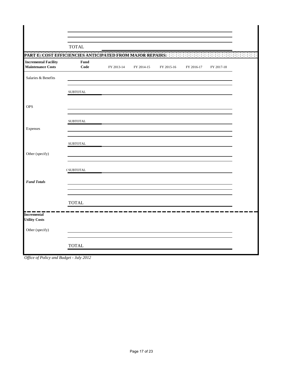|                                                           | <b>TOTAL</b>     |            |            |            |            |            |  |
|-----------------------------------------------------------|------------------|------------|------------|------------|------------|------------|--|
| PART E: COST EFFICIENCIES ANTICIPATED FROM MAJOR REPAIRS: |                  |            |            |            |            |            |  |
| <b>Incremental Facility</b><br><b>Maintenance Costs</b>   | Fund<br>Code     | FY 2013-14 | FY 2014-15 | FY 2015-16 | FY 2016-17 | FY 2017-18 |  |
| Salaries & Benefits                                       |                  |            |            |            |            |            |  |
|                                                           | <b>SUBTOTAL</b>  |            |            |            |            |            |  |
| <b>OPS</b>                                                |                  |            |            |            |            |            |  |
|                                                           | <b>SUBTOTAL</b>  |            |            |            |            |            |  |
| Expenses                                                  |                  |            |            |            |            |            |  |
|                                                           | <b>SUBTOTAL</b>  |            |            |            |            |            |  |
| Other (specify)                                           |                  |            |            |            |            |            |  |
|                                                           | <b>CSUBTOTAL</b> |            |            |            |            |            |  |
| <b>Fund Totals</b>                                        |                  |            |            |            |            |            |  |
|                                                           |                  |            |            |            |            |            |  |
|                                                           | <b>TOTAL</b>     |            |            |            |            |            |  |
| <b>Incremental</b><br><b>Utility Costs</b>                |                  |            |            |            |            |            |  |
| Other (specify)                                           |                  |            |            |            |            |            |  |
|                                                           | <b>TOTAL</b>     |            |            |            |            |            |  |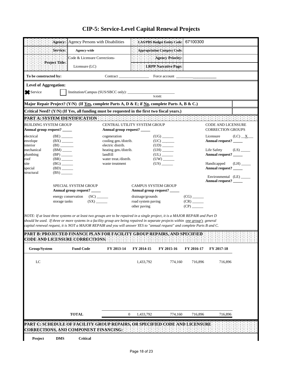|                                                       | : Agency: Agency Persons with Disabilities                                                            | LAS/PBS Budget Entity Code:         | 67100300                                              |  |
|-------------------------------------------------------|-------------------------------------------------------------------------------------------------------|-------------------------------------|-------------------------------------------------------|--|
| Service:                                              | Agency-wide                                                                                           | Appropriation Category Code:        |                                                       |  |
|                                                       | Code & Licensure Corrections-                                                                         | Agency Priority:                    |                                                       |  |
| Project Title:                                        | Licensure $(LC)$                                                                                      | LRPP Narrative Page:                |                                                       |  |
| To be constructed by:                                 |                                                                                                       | Contract<br>Force account           |                                                       |  |
| <b>Level of Aggregation:</b><br>Service               | Institution/Campus (SUS/SBCC only):                                                                   | <b>NAME</b>                         |                                                       |  |
|                                                       | Major Repair Project? (Y/N) (If <u>Yes,</u> complete Parts A, D & E; if No, complete Parts A, B & C.) |                                     |                                                       |  |
|                                                       | Critical Need? (Y/N) (If Yes, all funding must be requested in the first two fiscal years.)           |                                     |                                                       |  |
| PART A: SYSTEM IDENTIFICATION                         |                                                                                                       |                                     |                                                       |  |
| BUILDING SYSTEM GROUP<br>Annual group request? ______ | Annual group request?                                                                                 | <b>CENTRAL UTILITY SYSTEM GROUP</b> | <b>CODE AND LICENSURE</b><br><b>CORRECTION GROUPS</b> |  |

### **CIP-5: Service-Level Capital Renewal Projects**

| site       | (BG)                        | waste treatment | (US)                       | Handicapped<br>(LH)    |
|------------|-----------------------------|-----------------|----------------------------|------------------------|
| special    | (BD)                        |                 |                            | <b>Annual request?</b> |
| structural | (BS)                        |                 |                            |                        |
|            |                             |                 |                            |                        |
|            |                             |                 |                            | Annual request?        |
|            | <b>SPECIAL SYSTEM GROUP</b> |                 | <b>CAMPUS SYSTEM GROUP</b> |                        |
|            | Annual group request?       |                 | Annual group request?      |                        |
|            | (SC)<br>energy conservation |                 | drainage/grounds           | (CG)                   |
|            | storage tanks               | (SX)            | road system paving         | (CR)                   |
|            |                             |                 | other paving               | (CP)                   |
|            |                             |                 |                            |                        |

electrical (BE)  $_{\text{cogeneration}}$  cogeneration (UG)  $_{\text{C}}$  Licensure (LC)  $_{\text{X}}$ 

8 8 8 8

envelope (BX) \_\_\_\_\_ cooling gen./distrib. (UC) \_\_\_\_\_ **Annual request?** \_\_\_\_\_\_\_\_\_\_\_<br>interior (BI) electric distrib. (UD)

mechanical (BM) \_\_\_\_\_ heating gen./distrib. (UH) \_\_\_\_\_ Life Safety (LS) \_<br>plumbing (BP) \_\_\_\_ landfill (UL) (UL) \_\_\_\_ Annual request? plumbing (BP) andfill (UL) (UL) **Annual request?** and the contract of the contract of the contract of the contra<br>  $\begin{array}{ccc}\n\text{mod} & \text{if } \text{mod } n\text{ and } \text{mod } n\text{ and } \text{mod } n\text{ and } \text{mod } n\text{ and } \text{mod } n\text{ and } \text{mod } n\text{ and } \text{mod } n\text{ and } \text{mod } n\text{ and }$ 

electric distrib.

roof (BR) (BR) water treat./distrib.

*NOTE: If at least three systems or at least two groups are to be repaired in a single project, it is a MAJOR REPAIR and Part D should be used. If three or more systems in a facility group are being repaired in separate projects within one group's general capital renewal request, it is NOT a MAJOR REPAIR and you will answer YES to "annual request" and complete Parts B and C.*

**PART B: PROJECTED FINANCE PLAN FOR FACILITY GROUP REPAIRS, AND SPECIFIED CODE AND LICENSURE CORRECTIONS:** and the state of

| Group/System | <b>Fund Code</b> | FY 2013-14 | FY 2014-15                | FY 2015-16 | FY 2016-17 | FY 2017-18 |
|--------------|------------------|------------|---------------------------|------------|------------|------------|
| LC           |                  |            | 1,433,792                 | 774,160    | 716,896    | 716,896    |
|              |                  |            |                           |            |            |            |
|              |                  |            |                           |            |            |            |
|              |                  |            |                           |            |            |            |
|              | <b>TOTAL</b>     |            | 1,433,792<br>$\mathbf{0}$ | 774,160    | 716,896    | 716,896    |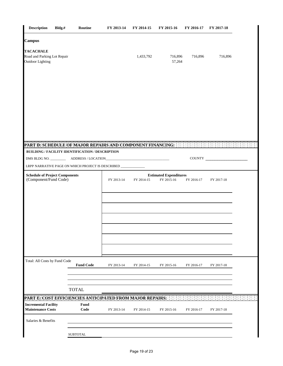| <b>Description</b>                                                         | Bldg.#                                                                                                                           | Routine                                                         | FY 2013-14 | FY 2014-15 | FY 2015-16                                  | FY 2016-17 | FY 2017-18 |  |
|----------------------------------------------------------------------------|----------------------------------------------------------------------------------------------------------------------------------|-----------------------------------------------------------------|------------|------------|---------------------------------------------|------------|------------|--|
| <b>Campus</b>                                                              |                                                                                                                                  |                                                                 |            |            |                                             |            |            |  |
| <b>TACACHALE</b><br>Road and Parking Lot Repair<br><b>Outdoor Lighting</b> |                                                                                                                                  |                                                                 |            | 1,433,792  | 716,896<br>57,264                           | 716,896    | 716,896    |  |
|                                                                            |                                                                                                                                  |                                                                 |            |            |                                             |            |            |  |
|                                                                            |                                                                                                                                  |                                                                 |            |            |                                             |            |            |  |
|                                                                            |                                                                                                                                  |                                                                 |            |            |                                             |            |            |  |
|                                                                            |                                                                                                                                  | PART D: SCHEDULE OF MAJOR REPAIRS AND COMPONENT FINANCING: :: : |            |            |                                             |            |            |  |
|                                                                            |                                                                                                                                  | BUILDING / FACILITY IDENTIFICATION / DESCRIPTION                |            |            |                                             |            | COUNTY     |  |
|                                                                            |                                                                                                                                  |                                                                 |            |            |                                             |            |            |  |
|                                                                            | LRPP NARRATIVE PAGE ON WHICH PROJECT IS DESCRIBED ____________<br><b>Schedule of Project Components</b><br>(Component/Fund Code) |                                                                 |            | FY 2014-15 | <b>Estimated Expenditures</b><br>FY 2015-16 | FY 2016-17 | FY 2017-18 |  |
|                                                                            |                                                                                                                                  |                                                                 |            |            |                                             |            |            |  |
|                                                                            |                                                                                                                                  |                                                                 |            |            |                                             |            |            |  |
|                                                                            |                                                                                                                                  |                                                                 |            |            |                                             |            |            |  |
| Total: All Costs by Fund Code                                              |                                                                                                                                  | <b>Fund Code</b>                                                | FY 2013-14 | FY 2014-15 | FY 2015-16                                  | FY 2016-17 | FY 2017-18 |  |
|                                                                            |                                                                                                                                  | <b>TOTAL</b>                                                    |            |            |                                             |            |            |  |
|                                                                            |                                                                                                                                  | PART E: COST EFFICIENCIES ANTICIPATED FROM MAJOR REPAIRS.       |            |            |                                             |            |            |  |
| <b>Incremental Facility</b><br><b>Maintenance Costs</b>                    |                                                                                                                                  | Fund<br>Code                                                    | FY 2013-14 | FY 2014-15 | FY 2015-16                                  | FY 2016-17 | FY 2017-18 |  |
| Salaries & Benefits                                                        |                                                                                                                                  |                                                                 |            |            |                                             |            |            |  |
|                                                                            |                                                                                                                                  | <b>SUBTOTAL</b>                                                 |            |            |                                             |            |            |  |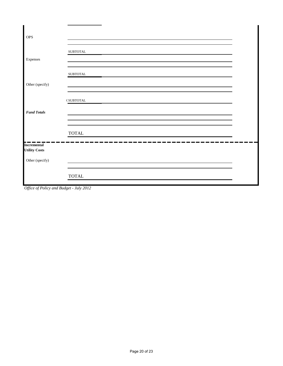| <b>OPS</b>                                 |                    |  |
|--------------------------------------------|--------------------|--|
| Expenses                                   | ${\tt SUBTOTAL}$   |  |
| Other (specify)                            | ${\tt SUBTOTAL}$   |  |
|                                            | $\sf C\, SUBTOTAL$ |  |
| <b>Fund Totals</b>                         |                    |  |
|                                            | <b>TOTAL</b>       |  |
| <b>Incremental</b><br><b>Utility Costs</b> |                    |  |
| Other (specify)                            |                    |  |
|                                            | <b>TOTAL</b>       |  |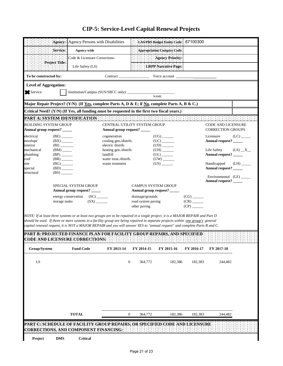|                                                                                                                                                                                               | 99 P.S<br>Agency:                                    | Agency Persons with Disabilities                                                                                                                                                                                                                                                                                                                                                                                                                                                                              |                                                       |                                                        | <b>LAS/PBS Budget Entity Code:</b> | 67100300                         |                                                       |            |  |  |
|-----------------------------------------------------------------------------------------------------------------------------------------------------------------------------------------------|------------------------------------------------------|---------------------------------------------------------------------------------------------------------------------------------------------------------------------------------------------------------------------------------------------------------------------------------------------------------------------------------------------------------------------------------------------------------------------------------------------------------------------------------------------------------------|-------------------------------------------------------|--------------------------------------------------------|------------------------------------|----------------------------------|-------------------------------------------------------|------------|--|--|
|                                                                                                                                                                                               | Service:                                             | Agency-wide                                                                                                                                                                                                                                                                                                                                                                                                                                                                                                   |                                                       |                                                        | Appropriation Category Code:       |                                  |                                                       |            |  |  |
|                                                                                                                                                                                               |                                                      | Code & Licensure Corrections-                                                                                                                                                                                                                                                                                                                                                                                                                                                                                 |                                                       |                                                        | <b>Agency Priority</b>             |                                  |                                                       |            |  |  |
|                                                                                                                                                                                               | Project Title:                                       | Life Safety (LS)                                                                                                                                                                                                                                                                                                                                                                                                                                                                                              |                                                       |                                                        | <b>LRPP</b> Narrative Page:        |                                  |                                                       |            |  |  |
| To be constructed by:                                                                                                                                                                         |                                                      |                                                                                                                                                                                                                                                                                                                                                                                                                                                                                                               | Contract                                              |                                                        | Force account                      |                                  |                                                       |            |  |  |
|                                                                                                                                                                                               | <b>Level of Aggregation:</b>                         |                                                                                                                                                                                                                                                                                                                                                                                                                                                                                                               |                                                       |                                                        |                                    |                                  |                                                       |            |  |  |
| Service                                                                                                                                                                                       |                                                      |                                                                                                                                                                                                                                                                                                                                                                                                                                                                                                               |                                                       |                                                        | <b>NAME</b>                        |                                  |                                                       |            |  |  |
|                                                                                                                                                                                               |                                                      |                                                                                                                                                                                                                                                                                                                                                                                                                                                                                                               |                                                       |                                                        |                                    |                                  |                                                       |            |  |  |
| Major Repair Project? (Y/N) (If Yes, complete Parts A, D & E; if No, complete Parts A, B & C.)<br>Critical Need? (Y/N) (If Yes, all funding must be requested in the first two fiscal years.) |                                                      |                                                                                                                                                                                                                                                                                                                                                                                                                                                                                                               |                                                       |                                                        |                                    |                                  |                                                       |            |  |  |
|                                                                                                                                                                                               |                                                      | PART A: SYSTEM IDENTIFICATION AND RESERVED AND RESERVED AND RESERVED AND                                                                                                                                                                                                                                                                                                                                                                                                                                      |                                                       |                                                        |                                    |                                  |                                                       |            |  |  |
| <b>BUILDING SYSTEM GROUP</b><br>Annual group request? _____                                                                                                                                   |                                                      |                                                                                                                                                                                                                                                                                                                                                                                                                                                                                                               | CENTRAL UTILITY SYSTEM GROUP<br>Annual group request? |                                                        |                                    |                                  | <b>CODE AND LICENSURE</b><br><b>CORRECTION GROUPS</b> |            |  |  |
| electrical                                                                                                                                                                                    | $(BE)$ <sub>_______</sub>                            |                                                                                                                                                                                                                                                                                                                                                                                                                                                                                                               | cogeneration                                          |                                                        | $(UG)$ <sub>_______</sub>          |                                  | Licensure                                             | (LC)       |  |  |
| envelope                                                                                                                                                                                      | $(BX)$ <sub>______</sub>                             |                                                                                                                                                                                                                                                                                                                                                                                                                                                                                                               | cooling gen./distrib.                                 |                                                        |                                    |                                  | Annual request? _____                                 |            |  |  |
| interior<br>mechanical                                                                                                                                                                        | (BI)<br>$(BM)$ <sub>_____</sub>                      |                                                                                                                                                                                                                                                                                                                                                                                                                                                                                                               | electric distrib.<br>heating gen./distrib.            |                                                        | $(UH)$ <sub>______</sub>           |                                  | Life Safety                                           | $(LS)$ $X$ |  |  |
| plumbing                                                                                                                                                                                      | $(BP)$ <sub>_____</sub>                              |                                                                                                                                                                                                                                                                                                                                                                                                                                                                                                               | landfill                                              |                                                        |                                    |                                  | Annual request? _____                                 |            |  |  |
| roof<br>site                                                                                                                                                                                  | $(BR)$ <sub>______</sub><br>$(BG)$ <sub>______</sub> |                                                                                                                                                                                                                                                                                                                                                                                                                                                                                                               | water treat./distrib.<br>waste treatment              |                                                        |                                    |                                  | Handicapped                                           | (LH)       |  |  |
| special                                                                                                                                                                                       | $(BD)$ <sub>_____</sub>                              |                                                                                                                                                                                                                                                                                                                                                                                                                                                                                                               |                                                       |                                                        |                                    |                                  | Annual request? _____                                 |            |  |  |
| structural                                                                                                                                                                                    | (BS)                                                 |                                                                                                                                                                                                                                                                                                                                                                                                                                                                                                               |                                                       |                                                        |                                    |                                  | Environmental (LE)                                    |            |  |  |
|                                                                                                                                                                                               |                                                      | <b>SPECIAL SYSTEM GROUP</b>                                                                                                                                                                                                                                                                                                                                                                                                                                                                                   |                                                       | <b>CAMPUS SYSTEM GROUP</b>                             |                                    |                                  | Annual request? _____                                 |            |  |  |
|                                                                                                                                                                                               |                                                      | Annual group request? ____                                                                                                                                                                                                                                                                                                                                                                                                                                                                                    |                                                       |                                                        | Annual group request? _____        |                                  |                                                       |            |  |  |
|                                                                                                                                                                                               | storage tanks                                        | energy conservation<br>(SX)                                                                                                                                                                                                                                                                                                                                                                                                                                                                                   |                                                       | drainage/grounds<br>road system paving<br>other paving |                                    | $(CG)$ <sub>______</sub><br>(CP) |                                                       |            |  |  |
|                                                                                                                                                                                               |                                                      | NOTE: If at least three systems or at least two groups are to be repaired in a single project, it is a MAJOR REPAIR and Part D<br>should be used. If three or more systems in a facility group are being repaired in separate projects within one group's general<br>capital renewal request, it is NOT a MAJOR REPAIR and you will answer YES to "annual request" and complete Parts B and C.<br>PART B: PROJECTED FINANCE PLAN FOR FACILITY GROUP REPAIRS, AND SPECIFIED<br>CODE AND LICENSURE CORRECTIONS; |                                                       |                                                        | .                                  |                                  |                                                       |            |  |  |
| Group/System                                                                                                                                                                                  |                                                      | <b>Fund Code</b>                                                                                                                                                                                                                                                                                                                                                                                                                                                                                              | FY 2013-14                                            | FY 2014-15                                             | FY 2015-16                         | FY 2016-17                       | FY 2017-18                                            |            |  |  |
| ${\rm LS}$                                                                                                                                                                                    |                                                      |                                                                                                                                                                                                                                                                                                                                                                                                                                                                                                               |                                                       | $\boldsymbol{0}$<br>364,772                            | 182,386                            | 182,383                          | 244,482                                               |            |  |  |
|                                                                                                                                                                                               |                                                      |                                                                                                                                                                                                                                                                                                                                                                                                                                                                                                               |                                                       |                                                        |                                    |                                  |                                                       |            |  |  |
|                                                                                                                                                                                               |                                                      |                                                                                                                                                                                                                                                                                                                                                                                                                                                                                                               |                                                       |                                                        |                                    |                                  |                                                       |            |  |  |
|                                                                                                                                                                                               |                                                      |                                                                                                                                                                                                                                                                                                                                                                                                                                                                                                               |                                                       |                                                        |                                    |                                  |                                                       |            |  |  |
|                                                                                                                                                                                               |                                                      |                                                                                                                                                                                                                                                                                                                                                                                                                                                                                                               |                                                       |                                                        |                                    |                                  |                                                       |            |  |  |
|                                                                                                                                                                                               |                                                      | <b>TOTAL</b>                                                                                                                                                                                                                                                                                                                                                                                                                                                                                                  |                                                       | $\boldsymbol{0}$<br>364,772                            | 182,386                            | 182,383                          | 244,482                                               |            |  |  |
|                                                                                                                                                                                               |                                                      | PART C. SCHEDULE OF FACILITY GROUP REPAIRS, OR SPECIFIED CODE AND LICENSURE<br>CORRECTIONS, AND COMPONENT FINANCING:                                                                                                                                                                                                                                                                                                                                                                                          |                                                       |                                                        |                                    |                                  |                                                       |            |  |  |
| Project                                                                                                                                                                                       | <b>DMS</b>                                           | Critical                                                                                                                                                                                                                                                                                                                                                                                                                                                                                                      |                                                       |                                                        |                                    |                                  |                                                       |            |  |  |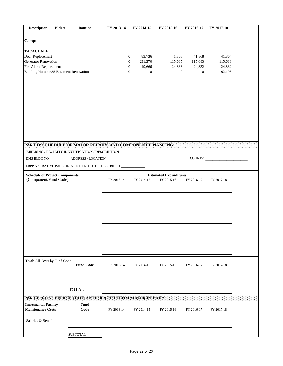| <b>Description</b>                                                                                                                             | Bldg.# | Routine                                          | FY 2013-14 | FY 2014-15                                                                                               | FY 2015-16                                  | FY 2016-17                                  | FY 2017-18                            |  |
|------------------------------------------------------------------------------------------------------------------------------------------------|--------|--------------------------------------------------|------------|----------------------------------------------------------------------------------------------------------|---------------------------------------------|---------------------------------------------|---------------------------------------|--|
| <b>Campus</b>                                                                                                                                  |        |                                                  |            |                                                                                                          |                                             |                                             |                                       |  |
| <b>TACACHALE</b><br>Door Replacement<br><b>Generator Renovation</b><br>Fire Alarm Replacement<br><b>Building Number 35 Basement Renovation</b> |        |                                                  |            | 83,736<br>0<br>231,370<br>$\boldsymbol{0}$<br>49,666<br>$\boldsymbol{0}$<br>$\mathbf{0}$<br>$\mathbf{0}$ | 41,868<br>115,685<br>24,833<br>$\mathbf{0}$ | 41,868<br>115,683<br>24,832<br>$\mathbf{0}$ | 41,864<br>115,683<br>24,832<br>62,103 |  |
| PART D: SCHEDULE OF MAJOR REPAIRS AND COMPONENT FINANCING:                                                                                     |        |                                                  |            |                                                                                                          |                                             |                                             |                                       |  |
|                                                                                                                                                |        | BUILDING / FACILITY IDENTIFICATION / DESCRIPTION |            |                                                                                                          |                                             |                                             |                                       |  |
|                                                                                                                                                |        |                                                  |            |                                                                                                          |                                             |                                             | COUNTY                                |  |
| LRPP NARRATIVE PAGE ON WHICH PROJECT IS DESCRIBED _________                                                                                    |        |                                                  |            |                                                                                                          |                                             |                                             |                                       |  |
| <b>Schedule of Project Components</b><br>(Component/Fund Code)                                                                                 |        |                                                  | FY 2013-14 | FY 2014-15                                                                                               | <b>Estimated Expenditures</b><br>FY 2015-16 | FY 2016-17                                  | FY 2017-18                            |  |
|                                                                                                                                                |        |                                                  |            |                                                                                                          |                                             |                                             |                                       |  |
| Total: All Costs by Fund Code                                                                                                                  |        |                                                  |            |                                                                                                          |                                             |                                             |                                       |  |
|                                                                                                                                                |        | <b>Fund Code</b>                                 | FY 2013-14 | FY 2014-15                                                                                               | FY 2015-16                                  | FY 2016-17                                  | FY 2017-18                            |  |
|                                                                                                                                                |        |                                                  |            |                                                                                                          |                                             |                                             |                                       |  |
|                                                                                                                                                |        |                                                  |            |                                                                                                          |                                             |                                             |                                       |  |
|                                                                                                                                                |        | <b>TOTAL</b>                                     |            |                                                                                                          |                                             |                                             |                                       |  |
| PART E: COST EFFICIENCIES ANTICIPATED FROM MAJOR REPAIRS; [13] [13]                                                                            |        |                                                  |            |                                                                                                          |                                             |                                             |                                       |  |
| <b>Incremental Facility</b><br><b>Maintenance Costs</b>                                                                                        |        | Fund<br>Code                                     | FY 2013-14 | FY 2014-15                                                                                               | FY 2015-16                                  | FY 2016-17                                  | FY 2017-18                            |  |
| Salaries & Benefits                                                                                                                            |        |                                                  |            |                                                                                                          |                                             |                                             |                                       |  |
|                                                                                                                                                |        | <b>SUBTOTAL</b>                                  |            |                                                                                                          |                                             |                                             |                                       |  |